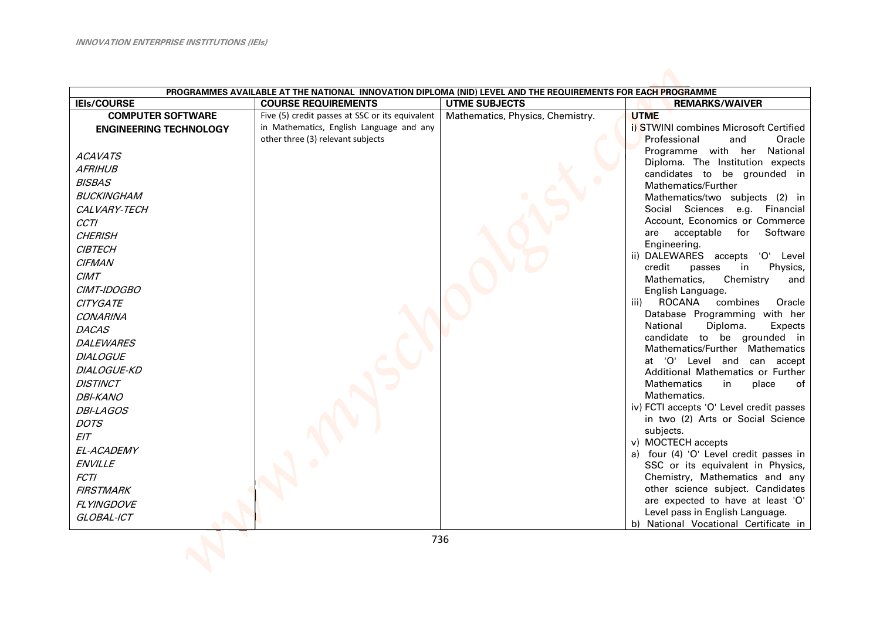| PROGRAMMES AVAILABLE AT THE NATIONAL INNOVATION DIPLOMA (NID) LEVEL AND THE REQUIREMENTS FOR EACH PROGRAMME |                                                 |                                  |                                                                     |
|-------------------------------------------------------------------------------------------------------------|-------------------------------------------------|----------------------------------|---------------------------------------------------------------------|
| <b>IEIs/COURSE</b>                                                                                          | <b>COURSE REQUIREMENTS</b>                      | <b>UTME SUBJECTS</b>             | <b>REMARKS/WAIVER</b>                                               |
| <b>COMPUTER SOFTWARE</b>                                                                                    | Five (5) credit passes at SSC or its equivalent | Mathematics, Physics, Chemistry. | <b>UTME</b>                                                         |
| <b>ENGINEERING TECHNOLOGY</b>                                                                               | in Mathematics, English Language and any        |                                  | i) STWINI combines Microsoft Certified                              |
|                                                                                                             | other three (3) relevant subjects               |                                  | Professional<br>and<br>Oracle                                       |
| <b>ACAVATS</b>                                                                                              |                                                 |                                  | National<br>Programme with her                                      |
| <b>AFRIHUB</b>                                                                                              |                                                 |                                  | Diploma. The Institution expects                                    |
| <b>BISBAS</b>                                                                                               |                                                 |                                  | candidates to be grounded in<br>Mathematics/Further                 |
| <b>BUCKINGHAM</b>                                                                                           |                                                 |                                  | Mathematics/two subjects (2) in                                     |
| CALVARY-TECH                                                                                                |                                                 |                                  | Social Sciences<br>e.g. Financial                                   |
| <b>CCTI</b>                                                                                                 |                                                 |                                  | Account, Economics or Commerce                                      |
| <b>CHERISH</b>                                                                                              |                                                 |                                  | Software<br>acceptable<br>for<br>are                                |
| <b>CIBTECH</b>                                                                                              |                                                 |                                  | Engineering.                                                        |
| <b>CIFMAN</b>                                                                                               |                                                 |                                  | ii) DALEWARES accepts<br>'O' Level                                  |
| <b>CIMT</b>                                                                                                 |                                                 |                                  | credit<br>Physics,<br>passes<br>in                                  |
| CIMT-IDOGBO                                                                                                 |                                                 |                                  | Mathematics,<br>Chemistry<br>and<br>English Language.               |
| <b>CITYGATE</b>                                                                                             |                                                 |                                  | ROCANA<br>iii)<br>combines<br>Oracle                                |
| <b>CONARINA</b>                                                                                             |                                                 |                                  | Database Programming with her                                       |
| <b>DACAS</b>                                                                                                |                                                 |                                  | National<br>Diploma.<br>Expects                                     |
| <b>DALEWARES</b>                                                                                            |                                                 |                                  | candidate to be grounded in                                         |
| <b>DIALOGUE</b>                                                                                             |                                                 |                                  | Mathematics/Further Mathematics                                     |
| <b>DIALOGUE-KD</b>                                                                                          |                                                 |                                  | at 'O' Level and can accept                                         |
| <b>DISTINCT</b>                                                                                             |                                                 |                                  | Additional Mathematics or Further<br><b>Mathematics</b><br>in       |
| <b>DBI-KANO</b>                                                                                             |                                                 |                                  | place<br>of<br>Mathematics.                                         |
| <b>DBI-LAGOS</b>                                                                                            |                                                 |                                  | iv) FCTI accepts 'O' Level credit passes                            |
| <b>DOTS</b>                                                                                                 |                                                 |                                  | in two (2) Arts or Social Science                                   |
| EIT                                                                                                         |                                                 |                                  | subjects.                                                           |
|                                                                                                             |                                                 |                                  | v) MOCTECH accepts                                                  |
| EL-ACADEMY<br><b>ENVILLE</b>                                                                                |                                                 |                                  | a) four (4) 'O' Level credit passes in                              |
| <b>FCTI</b>                                                                                                 |                                                 |                                  | SSC or its equivalent in Physics,<br>Chemistry, Mathematics and any |
|                                                                                                             |                                                 |                                  | other science subject. Candidates                                   |
| <b>FIRSTMARK</b>                                                                                            |                                                 |                                  | are expected to have at least 'O'                                   |
| <b>FLYINGDOVE</b>                                                                                           |                                                 |                                  | Level pass in English Language.                                     |
| GLOBAL-ICT                                                                                                  |                                                 |                                  | b) National Vocational Certificate in                               |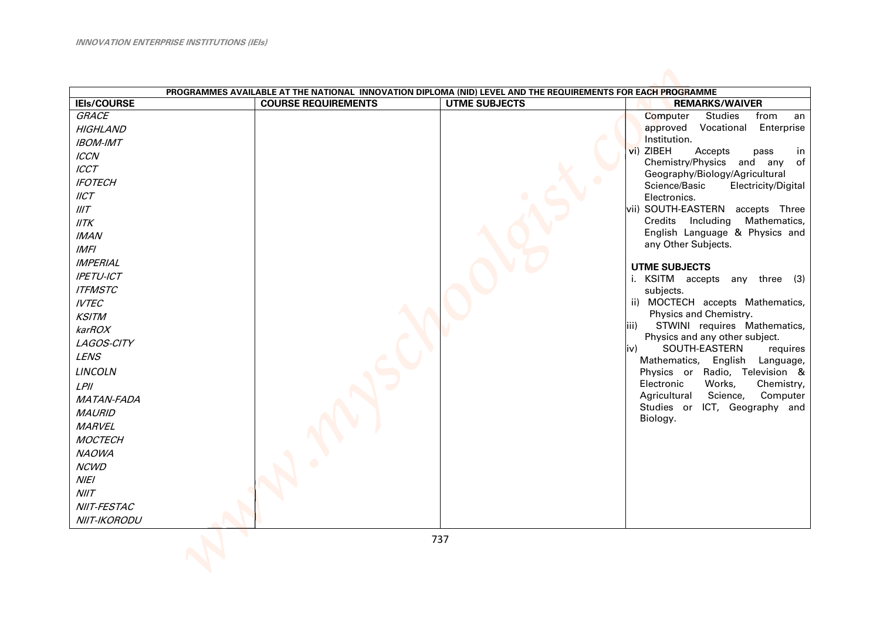| PROGRAMMES AVAILABLE AT THE NATIONAL INNOVATION DIPLOMA (NID) LEVEL AND THE REQUIREMENTS FOR EACH PROGRAMME                                                                                                                                                                                                                                                                                                                                                                   |                            |                      |                                                                                                                                                                                                                                                                                                                                                                                                                                                                                                                                                                                                                                                                                                                                                                                                                                                            |
|-------------------------------------------------------------------------------------------------------------------------------------------------------------------------------------------------------------------------------------------------------------------------------------------------------------------------------------------------------------------------------------------------------------------------------------------------------------------------------|----------------------------|----------------------|------------------------------------------------------------------------------------------------------------------------------------------------------------------------------------------------------------------------------------------------------------------------------------------------------------------------------------------------------------------------------------------------------------------------------------------------------------------------------------------------------------------------------------------------------------------------------------------------------------------------------------------------------------------------------------------------------------------------------------------------------------------------------------------------------------------------------------------------------------|
| <b>IEIs/COURSE</b>                                                                                                                                                                                                                                                                                                                                                                                                                                                            | <b>COURSE REQUIREMENTS</b> | <b>UTME SUBJECTS</b> | <b>REMARKS/WAIVER</b>                                                                                                                                                                                                                                                                                                                                                                                                                                                                                                                                                                                                                                                                                                                                                                                                                                      |
| GRACE<br><b>HIGHLAND</b><br><b>IBOM-IMT</b><br><b>ICCN</b><br><b>ICCT</b><br><b>IFOTECH</b><br>IICT<br>IIIT<br>IITK<br><b>IMAN</b><br><b>IMFI</b><br><b>IMPERIAL</b><br><b>IPETU-ICT</b><br><b>ITFMSTC</b><br><b>IVTEC</b><br><b>KSITM</b><br>karROX<br>LAGOS-CITY<br><b>LENS</b><br><b>LINCOLN</b><br>$L$ PII<br><b>MATAN-FADA</b><br><b>MAURID</b><br><b>MARVEL</b><br><b>MOCTECH</b><br><b>NAOWA</b><br><b>NCWD</b><br><b>NIEI</b><br>N I/T<br>NIIT-FESTAC<br>NIIT-IKORODU |                            |                      | Computer<br><b>Studies</b><br>from<br>an<br>Vocational Enterprise<br>approved<br>Institution.<br>vi) ZIBEH<br>Accepts<br>pass<br><sub>in</sub><br>Chemistry/Physics and any of<br>Geography/Biology/Agricultural<br>Science/Basic<br>Electricity/Digital<br>Electronics.<br>vii) SOUTH-EASTERN accepts Three<br>Credits Including Mathematics,<br>English Language & Physics and<br>any Other Subjects.<br><b>UTME SUBJECTS</b><br>i. KSITM accepts any three (3)<br>subjects.<br>ii) MOCTECH accepts Mathematics,<br>Physics and Chemistry.<br>STWINI requires Mathematics,<br>iii)<br>Physics and any other subject.<br>SOUTH-EASTERN<br>requires<br>liv)<br>Mathematics, English Language,<br>Physics or Radio, Television &<br>Electronic<br>Works,<br>Chemistry,<br>Science,<br>Computer<br>Agricultural<br>Studies or ICT, Geography and<br>Biology. |
|                                                                                                                                                                                                                                                                                                                                                                                                                                                                               |                            | 737                  |                                                                                                                                                                                                                                                                                                                                                                                                                                                                                                                                                                                                                                                                                                                                                                                                                                                            |
|                                                                                                                                                                                                                                                                                                                                                                                                                                                                               |                            |                      |                                                                                                                                                                                                                                                                                                                                                                                                                                                                                                                                                                                                                                                                                                                                                                                                                                                            |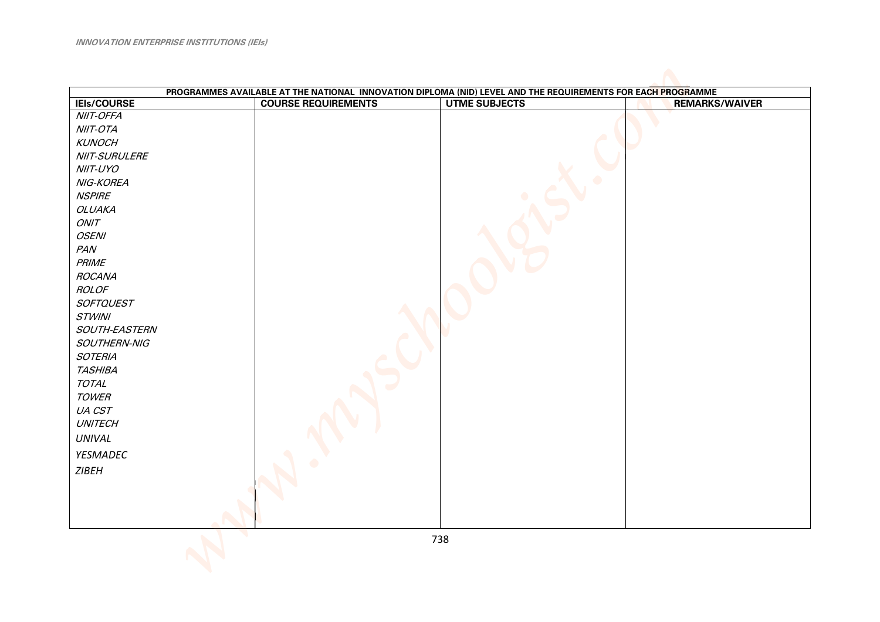| PROGRAMMES AVAILABLE AT THE NATIONAL INNOVATION DIPLOMA (NID) LEVEL AND THE REQUIREMENTS FOR EACH PROGRAMME |                            |                      |                       |  |
|-------------------------------------------------------------------------------------------------------------|----------------------------|----------------------|-----------------------|--|
| <b>IEIs/COURSE</b>                                                                                          | <b>COURSE REQUIREMENTS</b> | <b>UTME SUBJECTS</b> | <b>REMARKS/WAIVER</b> |  |
| <b>NIIT-OFFA</b>                                                                                            |                            |                      |                       |  |
| NIIT-OTA                                                                                                    |                            |                      |                       |  |
| <b>KUNOCH</b>                                                                                               |                            |                      |                       |  |
| NIIT-SURULERE                                                                                               |                            |                      |                       |  |
| NIIT-UYO                                                                                                    |                            |                      |                       |  |
| NIG-KOREA                                                                                                   |                            |                      |                       |  |
| <b>NSPIRE</b>                                                                                               |                            |                      |                       |  |
| <b>OLUAKA</b>                                                                                               |                            |                      |                       |  |
| ONIT                                                                                                        |                            |                      |                       |  |
| <b>OSENI</b>                                                                                                |                            |                      |                       |  |
| PAN                                                                                                         |                            |                      |                       |  |
| <b>PRIME</b>                                                                                                |                            |                      |                       |  |
| <b>ROCANA</b>                                                                                               |                            |                      |                       |  |
| ROLOF                                                                                                       |                            |                      |                       |  |
| <b>SOFTQUEST</b>                                                                                            |                            |                      |                       |  |
| <b>STWINI</b>                                                                                               |                            |                      |                       |  |
| SOUTH-EASTERN                                                                                               |                            |                      |                       |  |
| SOUTHERN-NIG                                                                                                |                            |                      |                       |  |
| <b>SOTERIA</b>                                                                                              |                            |                      |                       |  |
| <b>TASHIBA</b>                                                                                              |                            |                      |                       |  |
| <b>TOTAL</b>                                                                                                |                            |                      |                       |  |
| <b>TOWER</b>                                                                                                |                            |                      |                       |  |
| UA CST                                                                                                      |                            |                      |                       |  |
| <b>UNITECH</b>                                                                                              |                            |                      |                       |  |
| <b>UNIVAL</b>                                                                                               |                            |                      |                       |  |
| YESMADEC                                                                                                    |                            |                      |                       |  |
|                                                                                                             |                            |                      |                       |  |
| <b>ZIBEH</b>                                                                                                |                            |                      |                       |  |
|                                                                                                             |                            |                      |                       |  |
|                                                                                                             |                            |                      |                       |  |
|                                                                                                             |                            |                      |                       |  |
|                                                                                                             |                            |                      |                       |  |
|                                                                                                             |                            | 738                  |                       |  |
|                                                                                                             |                            |                      |                       |  |
|                                                                                                             |                            |                      |                       |  |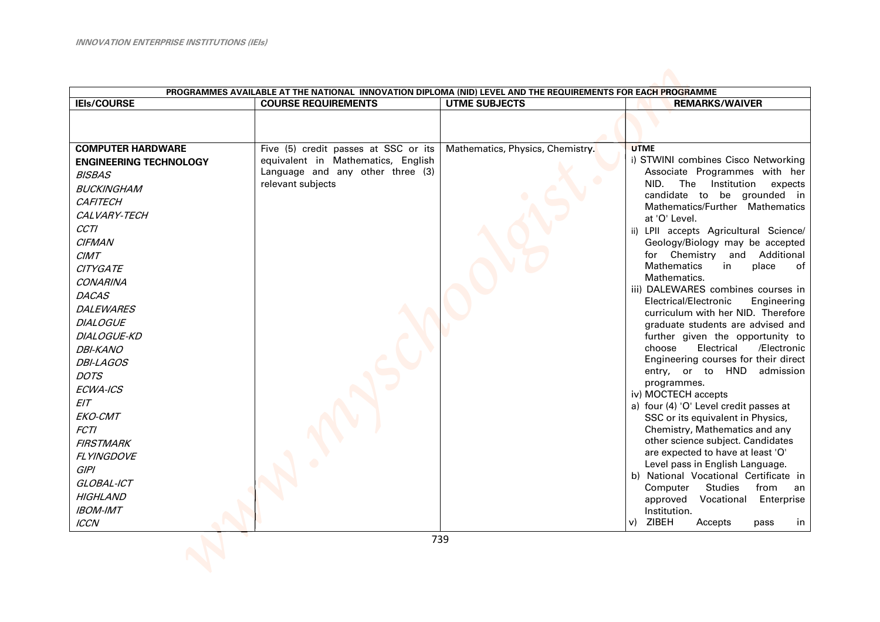| PROGRAMMES AVAILABLE AT THE NATIONAL INNOVATION DIPLOMA (NID) LEVEL AND THE REQUIREMENTS FOR EACH PROGRAMME                                                                                                                                                                                                                                                                                                                                                                                                          |                                                                                                                                     |                                  |                                                                                                                                                                                                                                                                                                                                                                                                                                                                                                                                                                                                                                                                                                                                                                                                                                                                                                                                                                                                                                                                                                                                                              |
|----------------------------------------------------------------------------------------------------------------------------------------------------------------------------------------------------------------------------------------------------------------------------------------------------------------------------------------------------------------------------------------------------------------------------------------------------------------------------------------------------------------------|-------------------------------------------------------------------------------------------------------------------------------------|----------------------------------|--------------------------------------------------------------------------------------------------------------------------------------------------------------------------------------------------------------------------------------------------------------------------------------------------------------------------------------------------------------------------------------------------------------------------------------------------------------------------------------------------------------------------------------------------------------------------------------------------------------------------------------------------------------------------------------------------------------------------------------------------------------------------------------------------------------------------------------------------------------------------------------------------------------------------------------------------------------------------------------------------------------------------------------------------------------------------------------------------------------------------------------------------------------|
| <b>IEIs/COURSE</b>                                                                                                                                                                                                                                                                                                                                                                                                                                                                                                   | <b>COURSE REQUIREMENTS</b>                                                                                                          | <b>UTME SUBJECTS</b>             | <b>REMARKS/WAIVER</b>                                                                                                                                                                                                                                                                                                                                                                                                                                                                                                                                                                                                                                                                                                                                                                                                                                                                                                                                                                                                                                                                                                                                        |
|                                                                                                                                                                                                                                                                                                                                                                                                                                                                                                                      |                                                                                                                                     |                                  |                                                                                                                                                                                                                                                                                                                                                                                                                                                                                                                                                                                                                                                                                                                                                                                                                                                                                                                                                                                                                                                                                                                                                              |
| <b>COMPUTER HARDWARE</b><br><b>ENGINEERING TECHNOLOGY</b><br><b>BISBAS</b><br><b>BUCKINGHAM</b><br><b>CAFITECH</b><br>CALVARY-TECH<br><b>CCTI</b><br><b>CIFMAN</b><br><b>CIMT</b><br><b>CITYGATE</b><br><b>CONARINA</b><br><b>DACAS</b><br><b>DALEWARES</b><br><b>DIALOGUE</b><br>DIALOGUE-KD<br><b>DBI-KANO</b><br><b>DBI-LAGOS</b><br><b>DOTS</b><br>ECWA-ICS<br>EIT<br>EKO-CMT<br><b>FCTI</b><br><b>FIRSTMARK</b><br>FLYINGDOVE<br><b>GIPI</b><br>GLOBAL-ICT<br><b>HIGHLAND</b><br><b>IBOM-IMT</b><br><b>ICCN</b> | Five (5) credit passes at SSC or its<br>equivalent in Mathematics, English<br>Language and any other three (3)<br>relevant subjects | Mathematics, Physics, Chemistry. | <b>UTME</b><br>i) STWINI combines Cisco Networking<br>Associate Programmes with her<br>Institution<br>expects<br>NID.<br>The<br>candidate to be grounded in<br>Mathematics/Further Mathematics<br>at 'O' Level.<br>ii) LPII accepts Agricultural Science/<br>Geology/Biology may be accepted<br>for Chemistry and Additional<br><b>Mathematics</b><br>place<br>in<br>of<br>Mathematics.<br>iii) DALEWARES combines courses in<br>Electrical/Electronic<br>Engineering<br>curriculum with her NID. Therefore<br>graduate students are advised and<br>further given the opportunity to<br>choose<br>Electrical<br>/Electronic<br>Engineering courses for their direct<br>entry, or to HND admission<br>programmes.<br>iv) MOCTECH accepts<br>a) four (4) 'O' Level credit passes at<br>SSC or its equivalent in Physics,<br>Chemistry, Mathematics and any<br>other science subject. Candidates<br>are expected to have at least 'O'<br>Level pass in English Language.<br>b) National Vocational Certificate in<br>Computer<br><b>Studies</b><br>from<br>an<br>approved<br>Vocational<br>Enterprise<br>Institution.<br>ZIBEH<br>$\mathsf{v}$<br>Accepts<br>in |
|                                                                                                                                                                                                                                                                                                                                                                                                                                                                                                                      |                                                                                                                                     |                                  | pass                                                                                                                                                                                                                                                                                                                                                                                                                                                                                                                                                                                                                                                                                                                                                                                                                                                                                                                                                                                                                                                                                                                                                         |
|                                                                                                                                                                                                                                                                                                                                                                                                                                                                                                                      |                                                                                                                                     | 739                              |                                                                                                                                                                                                                                                                                                                                                                                                                                                                                                                                                                                                                                                                                                                                                                                                                                                                                                                                                                                                                                                                                                                                                              |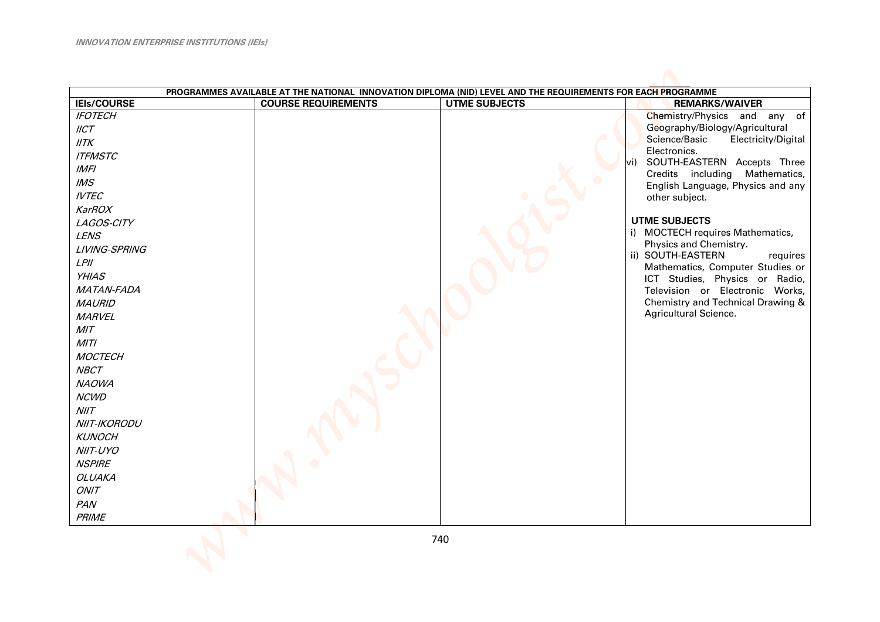| PROGRAMMES AVAILABLE AT THE NATIONAL INNOVATION DIPLOMA (NID) LEVEL AND THE REQUIREMENTS FOR EACH PROGRAMME                                                                                                                                                                                                                                                                                                                               |                            |                      |                                                                                                                                                                                                                                                                                                                                                                                                                                                                                                                                                     |  |
|-------------------------------------------------------------------------------------------------------------------------------------------------------------------------------------------------------------------------------------------------------------------------------------------------------------------------------------------------------------------------------------------------------------------------------------------|----------------------------|----------------------|-----------------------------------------------------------------------------------------------------------------------------------------------------------------------------------------------------------------------------------------------------------------------------------------------------------------------------------------------------------------------------------------------------------------------------------------------------------------------------------------------------------------------------------------------------|--|
| <b>IEIs/COURSE</b>                                                                                                                                                                                                                                                                                                                                                                                                                        | <b>COURSE REQUIREMENTS</b> | <b>UTME SUBJECTS</b> | <b>REMARKS/WAIVER</b>                                                                                                                                                                                                                                                                                                                                                                                                                                                                                                                               |  |
| <b>IFOTECH</b><br>IICT<br>IITK<br><b>ITFMSTC</b><br><b>IMFI</b><br>M.S<br><b>IVTEC</b><br><b>KarROX</b><br>LAGOS-CITY<br><b>LENS</b><br>LIVING-SPRING<br>$L$ $P$ //<br><b>YHIAS</b><br>MATAN-FADA<br><b>MAURID</b><br><b>MARVEL</b><br>MIT<br>MITI<br><b>MOCTECH</b><br><b>NBCT</b><br><b>NAOWA</b><br><b>NCWD</b><br>N I/T<br>NIIT-IKORODU<br><b>KUNOCH</b><br>NIIT-UYO<br><b>NSPIRE</b><br><b>OLUAKA</b><br>ONIT<br>PAN<br><b>PRIME</b> |                            |                      | Chemistry/Physics and any of<br>Geography/Biology/Agricultural<br>Science/Basic<br>Electricity/Digital<br>Electronics.<br>SOUTH-EASTERN Accepts Three<br>vi)<br>Credits including Mathematics,<br>English Language, Physics and any<br>other subject.<br><b>UTME SUBJECTS</b><br>i) MOCTECH requires Mathematics,<br>Physics and Chemistry.<br>ii) SOUTH-EASTERN<br>requires<br>Mathematics, Computer Studies or<br>ICT Studies, Physics or Radio,<br>Television or Electronic Works,<br>Chemistry and Technical Drawing &<br>Agricultural Science. |  |
|                                                                                                                                                                                                                                                                                                                                                                                                                                           |                            | 740                  |                                                                                                                                                                                                                                                                                                                                                                                                                                                                                                                                                     |  |
|                                                                                                                                                                                                                                                                                                                                                                                                                                           |                            |                      |                                                                                                                                                                                                                                                                                                                                                                                                                                                                                                                                                     |  |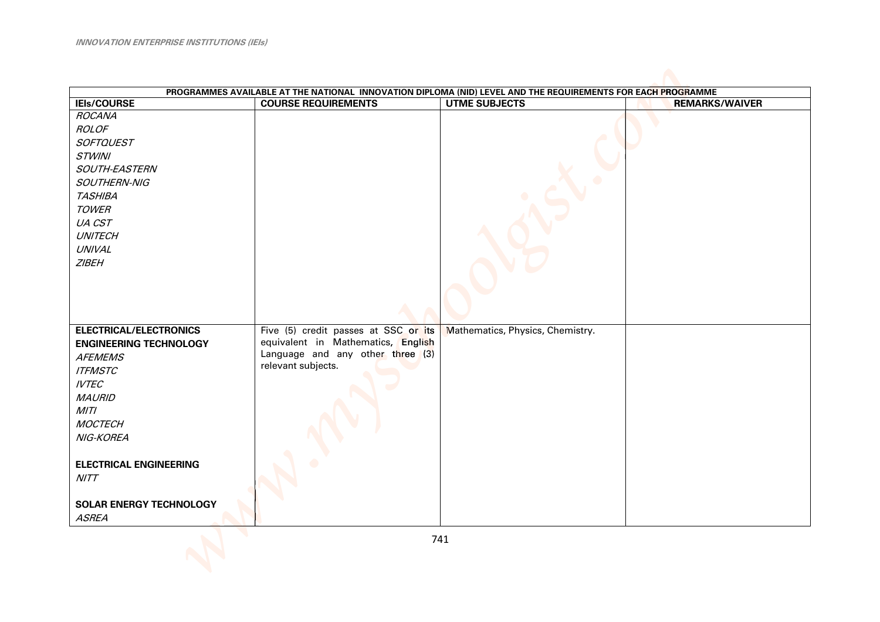| PROGRAMMES AVAILABLE AT THE NATIONAL INNOVATION DIPLOMA (NID) LEVEL AND THE REQUIREMENTS FOR EACH PROGRAMME |                                      |                                  |                       |  |
|-------------------------------------------------------------------------------------------------------------|--------------------------------------|----------------------------------|-----------------------|--|
| <b>IEIs/COURSE</b>                                                                                          | <b>COURSE REQUIREMENTS</b>           | <b>UTME SUBJECTS</b>             | <b>REMARKS/WAIVER</b> |  |
| <b>ROCANA</b>                                                                                               |                                      |                                  |                       |  |
| <b>ROLOF</b>                                                                                                |                                      |                                  |                       |  |
| <b>SOFTQUEST</b>                                                                                            |                                      |                                  |                       |  |
| <b>STWINI</b>                                                                                               |                                      |                                  |                       |  |
| SOUTH-EASTERN                                                                                               |                                      |                                  |                       |  |
| SOUTHERN-NIG                                                                                                |                                      |                                  |                       |  |
| <b>TASHIBA</b>                                                                                              |                                      |                                  |                       |  |
| <b>TOWER</b>                                                                                                |                                      |                                  |                       |  |
| UA CST                                                                                                      |                                      |                                  |                       |  |
| <b>UNITECH</b>                                                                                              |                                      |                                  |                       |  |
| UNIVAL                                                                                                      |                                      |                                  |                       |  |
| <b>ZIBEH</b>                                                                                                |                                      |                                  |                       |  |
|                                                                                                             |                                      |                                  |                       |  |
|                                                                                                             |                                      |                                  |                       |  |
|                                                                                                             |                                      |                                  |                       |  |
|                                                                                                             |                                      |                                  |                       |  |
| <b>ELECTRICAL/ELECTRONICS</b>                                                                               | Five (5) credit passes at SSC or its | Mathematics, Physics, Chemistry. |                       |  |
| <b>ENGINEERING TECHNOLOGY</b>                                                                               | equivalent in Mathematics, English   |                                  |                       |  |
| <b>AFEMEMS</b>                                                                                              | Language and any other three (3)     |                                  |                       |  |
| <b>ITFMSTC</b>                                                                                              | relevant subjects.                   |                                  |                       |  |
| <b>IVTEC</b>                                                                                                |                                      |                                  |                       |  |
|                                                                                                             |                                      |                                  |                       |  |
| <b>MAURID</b>                                                                                               |                                      |                                  |                       |  |
| MITI                                                                                                        |                                      |                                  |                       |  |
| <b>MOCTECH</b>                                                                                              |                                      |                                  |                       |  |
| NIG-KOREA                                                                                                   |                                      |                                  |                       |  |
|                                                                                                             |                                      |                                  |                       |  |
| <b>ELECTRICAL ENGINEERING</b>                                                                               |                                      |                                  |                       |  |
| NITT                                                                                                        |                                      |                                  |                       |  |
|                                                                                                             |                                      |                                  |                       |  |
| <b>SOLAR ENERGY TECHNOLOGY</b>                                                                              |                                      |                                  |                       |  |
| <b>ASREA</b>                                                                                                |                                      |                                  |                       |  |
|                                                                                                             |                                      | 741                              |                       |  |
|                                                                                                             |                                      |                                  |                       |  |
|                                                                                                             |                                      |                                  |                       |  |
|                                                                                                             |                                      |                                  |                       |  |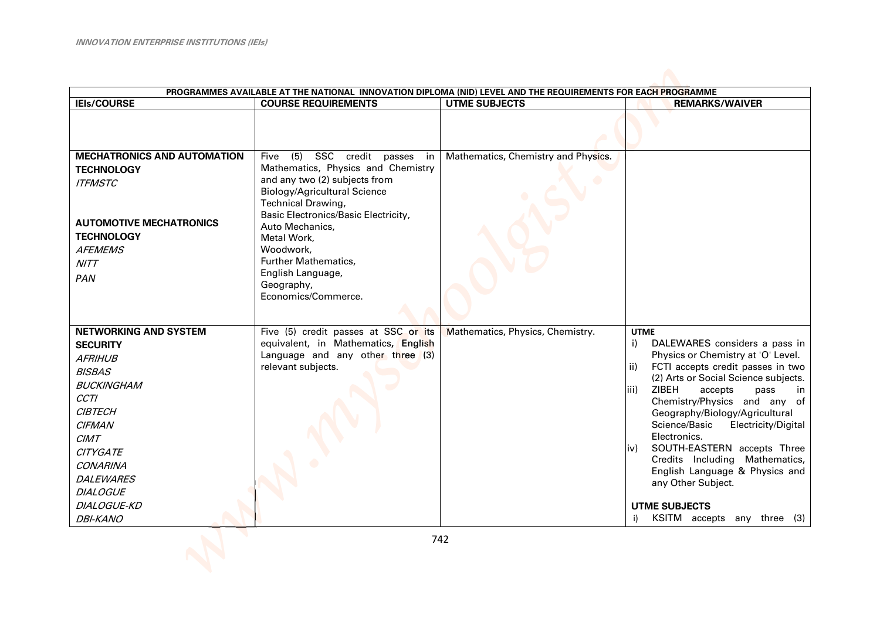| PROGRAMMES AVAILABLE AT THE NATIONAL INNOVATION DIPLOMA (NID) LEVEL AND THE REQUIREMENTS FOR EACH PROGRAMME                                                                                                                                                                      |                                                                                                                                                                                                                                    |                                     |                                                                                                                                                                                                                                                                                                                                                                                                                                                                                                                                                      |  |
|----------------------------------------------------------------------------------------------------------------------------------------------------------------------------------------------------------------------------------------------------------------------------------|------------------------------------------------------------------------------------------------------------------------------------------------------------------------------------------------------------------------------------|-------------------------------------|------------------------------------------------------------------------------------------------------------------------------------------------------------------------------------------------------------------------------------------------------------------------------------------------------------------------------------------------------------------------------------------------------------------------------------------------------------------------------------------------------------------------------------------------------|--|
| <b>IEIs/COURSE</b>                                                                                                                                                                                                                                                               | <b>COURSE REQUIREMENTS</b>                                                                                                                                                                                                         | <b>UTME SUBJECTS</b>                | <b>REMARKS/WAIVER</b>                                                                                                                                                                                                                                                                                                                                                                                                                                                                                                                                |  |
| <b>MECHATRONICS AND AUTOMATION</b><br><b>TECHNOLOGY</b><br><b>ITFMSTC</b>                                                                                                                                                                                                        | (5)<br>SSC credit passes<br>Five<br>in<br>Mathematics, Physics and Chemistry<br>and any two (2) subjects from                                                                                                                      | Mathematics, Chemistry and Physics. |                                                                                                                                                                                                                                                                                                                                                                                                                                                                                                                                                      |  |
| <b>AUTOMOTIVE MECHATRONICS</b><br><b>TECHNOLOGY</b><br><b>AFEMEMS</b><br><b>NITT</b><br>PAN                                                                                                                                                                                      | <b>Biology/Agricultural Science</b><br>Technical Drawing,<br>Basic Electronics/Basic Electricity,<br>Auto Mechanics,<br>Metal Work,<br>Woodwork,<br>Further Mathematics,<br>English Language,<br>Geography,<br>Economics/Commerce. |                                     |                                                                                                                                                                                                                                                                                                                                                                                                                                                                                                                                                      |  |
| <b>NETWORKING AND SYSTEM</b><br><b>SECURITY</b><br><b>AFRIHUB</b><br><b>BISBAS</b><br><b>BUCKINGHAM</b><br><b>CCTI</b><br><b>CIBTECH</b><br><b>CIFMAN</b><br>CIMT<br><b>CITYGATE</b><br><b>CONARINA</b><br><b>DALEWARES</b><br><b>DIALOGUE</b><br>DIALOGUE-KD<br><b>DBI-KANO</b> | Five (5) credit passes at SSC or its<br>equivalent, in Mathematics, English<br>Language and any other three $(3)$<br>relevant subjects.                                                                                            | Mathematics, Physics, Chemistry.    | <b>UTME</b><br>DALEWARES considers a pass in<br>i)<br>Physics or Chemistry at 'O' Level.<br>FCTI accepts credit passes in two<br>ii)<br>(2) Arts or Social Science subjects.<br><b>ZIBEH</b><br>iii)<br>accepts<br>pass<br>in<br>Chemistry/Physics and any of<br>Geography/Biology/Agricultural<br>Science/Basic<br>Electricity/Digital<br>Electronics.<br>SOUTH-EASTERN accepts Three<br>iv)<br>Credits Including Mathematics,<br>English Language & Physics and<br>any Other Subject.<br><b>UTME SUBJECTS</b><br>KSITM accepts any three (3)<br>i) |  |
|                                                                                                                                                                                                                                                                                  |                                                                                                                                                                                                                                    | 742                                 |                                                                                                                                                                                                                                                                                                                                                                                                                                                                                                                                                      |  |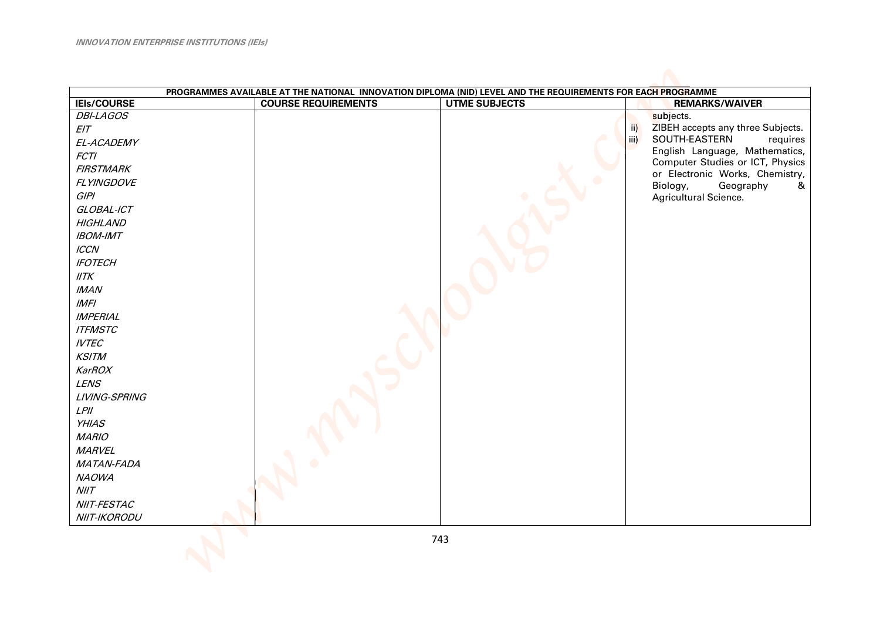|                    | PROGRAMMES AVAILABLE AT THE NATIONAL INNOVATION DIPLOMA (NID) LEVEL AND THE REQUIREMENTS FOR EACH PROGRAMME |                      |                                                                    |
|--------------------|-------------------------------------------------------------------------------------------------------------|----------------------|--------------------------------------------------------------------|
| <b>IEIs/COURSE</b> | <b>COURSE REQUIREMENTS</b>                                                                                  | <b>UTME SUBJECTS</b> | <b>REMARKS/WAIVER</b>                                              |
| <b>DBI-LAGOS</b>   |                                                                                                             |                      | subjects.                                                          |
| EIT                |                                                                                                             |                      | ZIBEH accepts any three Subjects.<br>$\overline{ii}$               |
| EL-ACADEMY         |                                                                                                             |                      | SOUTH-EASTERN<br>iii)<br>requires                                  |
| FCTI               |                                                                                                             |                      | English Language, Mathematics,<br>Computer Studies or ICT, Physics |
| <b>FIRSTMARK</b>   |                                                                                                             |                      | or Electronic Works, Chemistry,                                    |
| FLYINGDOVE         |                                                                                                             |                      | Biology,<br>Geography<br>&                                         |
| GIPI               |                                                                                                             |                      | Agricultural Science.                                              |
| GLOBAL-ICT         |                                                                                                             |                      |                                                                    |
| <b>HIGHLAND</b>    |                                                                                                             |                      |                                                                    |
| <b>IBOM-IMT</b>    |                                                                                                             |                      |                                                                    |
| $\textit{ICCN}$    |                                                                                                             |                      |                                                                    |
| <b>IFOTECH</b>     |                                                                                                             |                      |                                                                    |
| IITK               |                                                                                                             |                      |                                                                    |
| <b>IMAN</b>        |                                                                                                             |                      |                                                                    |
| IMFI               |                                                                                                             |                      |                                                                    |
| <b>IMPERIAL</b>    |                                                                                                             |                      |                                                                    |
| <b>ITFMSTC</b>     |                                                                                                             |                      |                                                                    |
| <b>IVTEC</b>       |                                                                                                             |                      |                                                                    |
| <b>KSITM</b>       |                                                                                                             |                      |                                                                    |
| KarROX             |                                                                                                             |                      |                                                                    |
| <b>LENS</b>        |                                                                                                             |                      |                                                                    |
| LIVING-SPRING      |                                                                                                             |                      |                                                                    |
| $L$ $P$ //         |                                                                                                             |                      |                                                                    |
| <b>YHIAS</b>       |                                                                                                             |                      |                                                                    |
| <b>MARIO</b>       |                                                                                                             |                      |                                                                    |
| <b>MARVEL</b>      |                                                                                                             |                      |                                                                    |
| MATAN-FADA         |                                                                                                             |                      |                                                                    |
| <b>NAOWA</b>       |                                                                                                             |                      |                                                                    |
| N I/T              |                                                                                                             |                      |                                                                    |
| NIIT-FESTAC        |                                                                                                             |                      |                                                                    |
| NIIT-IKORODU       |                                                                                                             |                      |                                                                    |
|                    |                                                                                                             |                      |                                                                    |
|                    |                                                                                                             | 743                  |                                                                    |
|                    |                                                                                                             |                      |                                                                    |
|                    |                                                                                                             |                      |                                                                    |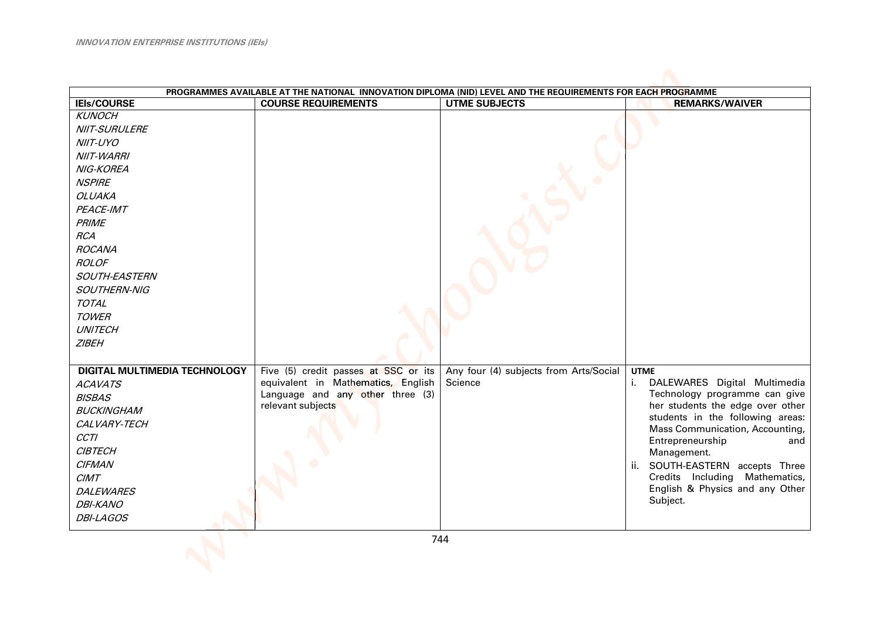| PROGRAMMES AVAILABLE AT THE NATIONAL INNOVATION DIPLOMA (NID) LEVEL AND THE REQUIREMENTS FOR EACH PROGRAMME |                                      |                                        |                                                            |  |
|-------------------------------------------------------------------------------------------------------------|--------------------------------------|----------------------------------------|------------------------------------------------------------|--|
| <b>IEIs/COURSE</b>                                                                                          | <b>COURSE REQUIREMENTS</b>           | <b>UTME SUBJECTS</b>                   | <b>REMARKS/WAIVER</b>                                      |  |
| <b>KUNOCH</b>                                                                                               |                                      |                                        |                                                            |  |
| NIIT-SURULERE                                                                                               |                                      |                                        |                                                            |  |
| NIIT-UYO                                                                                                    |                                      |                                        |                                                            |  |
| <b>NIIT-WARRI</b>                                                                                           |                                      |                                        |                                                            |  |
| NIG-KOREA                                                                                                   |                                      |                                        |                                                            |  |
| <b>NSPIRE</b>                                                                                               |                                      |                                        |                                                            |  |
| <b>OLUAKA</b>                                                                                               |                                      |                                        |                                                            |  |
| PEACE-IMT                                                                                                   |                                      |                                        |                                                            |  |
| <b>PRIME</b>                                                                                                |                                      |                                        |                                                            |  |
| <b>RCA</b>                                                                                                  |                                      |                                        |                                                            |  |
| <b>ROCANA</b>                                                                                               |                                      |                                        |                                                            |  |
| <b>ROLOF</b>                                                                                                |                                      |                                        |                                                            |  |
| SOUTH-EASTERN                                                                                               |                                      |                                        |                                                            |  |
| SOUTHERN-NIG                                                                                                |                                      |                                        |                                                            |  |
| <b>TOTAL</b>                                                                                                |                                      |                                        |                                                            |  |
| <b>TOWER</b>                                                                                                |                                      |                                        |                                                            |  |
| <b>UNITECH</b>                                                                                              |                                      |                                        |                                                            |  |
| <b>ZIBEH</b>                                                                                                |                                      |                                        |                                                            |  |
|                                                                                                             |                                      |                                        |                                                            |  |
| <b>DIGITAL MULTIMEDIA TECHNOLOGY</b>                                                                        | Five (5) credit passes at SSC or its | Any four (4) subjects from Arts/Social | <b>UTME</b>                                                |  |
| <b>ACAVATS</b>                                                                                              | equivalent in Mathematics, English   | Science                                | i. DALEWARES Digital Multimedia                            |  |
| <b>BISBAS</b>                                                                                               | Language and any other three (3)     |                                        | Technology programme can give                              |  |
| <b>BUCKINGHAM</b>                                                                                           | relevant subjects                    |                                        | her students the edge over other                           |  |
| CALVARY-TECH                                                                                                |                                      |                                        | students in the following areas:                           |  |
| <b>CCTI</b>                                                                                                 |                                      |                                        | Mass Communication, Accounting,<br>Entrepreneurship<br>and |  |
| <b>CIBTECH</b>                                                                                              |                                      |                                        | Management.                                                |  |
| <b>CIFMAN</b>                                                                                               |                                      |                                        | ii. SOUTH-EASTERN accepts Three                            |  |
| CIMT                                                                                                        |                                      |                                        | Credits Including Mathematics,                             |  |
| <b>DALEWARES</b>                                                                                            |                                      |                                        | English & Physics and any Other                            |  |
| <b>DBI-KANO</b>                                                                                             |                                      |                                        | Subject.                                                   |  |
| <b>DBI-LAGOS</b>                                                                                            |                                      |                                        |                                                            |  |
|                                                                                                             |                                      |                                        |                                                            |  |
|                                                                                                             |                                      | 744                                    |                                                            |  |
|                                                                                                             |                                      |                                        |                                                            |  |
|                                                                                                             |                                      |                                        |                                                            |  |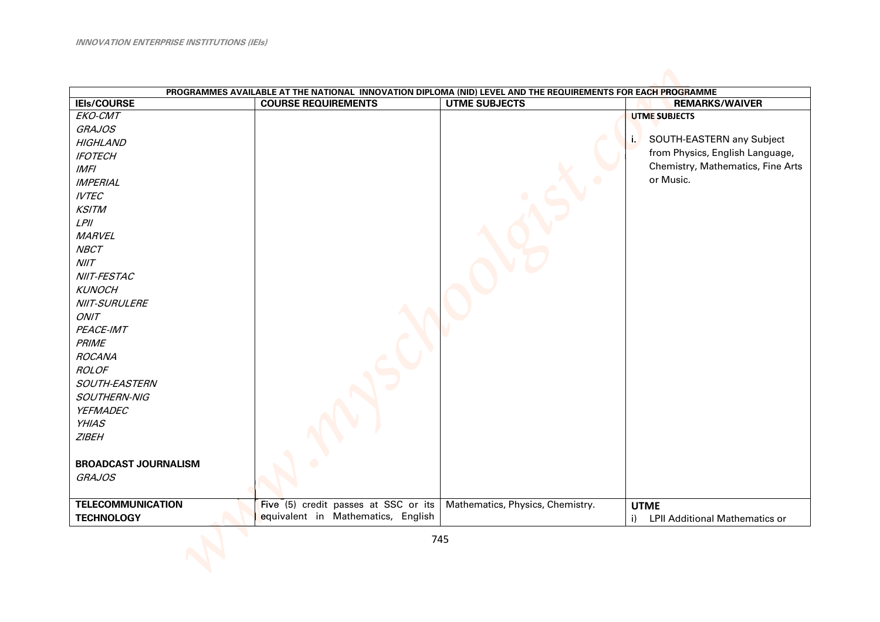| PROGRAMMES AVAILABLE AT THE NATIONAL INNOVATION DIPLOMA (NID) LEVEL AND THE REQUIREMENTS FOR EACH PROGRAMME |                                      |                                  |                                                |
|-------------------------------------------------------------------------------------------------------------|--------------------------------------|----------------------------------|------------------------------------------------|
| <b>IEIs/COURSE</b>                                                                                          | <b>COURSE REQUIREMENTS</b>           | <b>UTME SUBJECTS</b>             | <b>REMARKS/WAIVER</b>                          |
| EKO-CMT                                                                                                     |                                      |                                  | <b>UTME SUBJECTS</b>                           |
| <b>GRAJOS</b>                                                                                               |                                      |                                  |                                                |
| <b>HIGHLAND</b>                                                                                             |                                      |                                  | i. SOUTH-EASTERN any Subject                   |
| <b>IFOTECH</b>                                                                                              |                                      |                                  | from Physics, English Language,                |
| IMFI                                                                                                        |                                      |                                  | Chemistry, Mathematics, Fine Arts              |
| <b>IMPERIAL</b>                                                                                             |                                      |                                  | or Music.                                      |
| <b>IVTEC</b>                                                                                                |                                      |                                  |                                                |
| <b>KSITM</b>                                                                                                |                                      |                                  |                                                |
| $L$ PII                                                                                                     |                                      |                                  |                                                |
| <b>MARVEL</b>                                                                                               |                                      |                                  |                                                |
| <b>NBCT</b>                                                                                                 |                                      |                                  |                                                |
| N I/T                                                                                                       |                                      |                                  |                                                |
| NIIT-FESTAC                                                                                                 |                                      |                                  |                                                |
| <b>KUNOCH</b>                                                                                               |                                      |                                  |                                                |
| NIIT-SURULERE                                                                                               |                                      |                                  |                                                |
| ONIT                                                                                                        |                                      |                                  |                                                |
| PEACE-IMT                                                                                                   |                                      |                                  |                                                |
| PRIME                                                                                                       |                                      |                                  |                                                |
| <b>ROCANA</b>                                                                                               |                                      |                                  |                                                |
| <b>ROLOF</b>                                                                                                |                                      |                                  |                                                |
| SOUTH-EASTERN                                                                                               |                                      |                                  |                                                |
| SOUTHERN-NIG                                                                                                |                                      |                                  |                                                |
| YEFMADEC                                                                                                    |                                      |                                  |                                                |
| <b>YHIAS</b>                                                                                                |                                      |                                  |                                                |
| <b>ZIBEH</b>                                                                                                |                                      |                                  |                                                |
|                                                                                                             |                                      |                                  |                                                |
| <b>BROADCAST JOURNALISM</b>                                                                                 |                                      |                                  |                                                |
| <b>GRAJOS</b>                                                                                               |                                      |                                  |                                                |
|                                                                                                             |                                      |                                  |                                                |
| <b>TELECOMMUNICATION</b>                                                                                    | Five (5) credit passes at SSC or its | Mathematics, Physics, Chemistry. | <b>UTME</b>                                    |
| <b>TECHNOLOGY</b>                                                                                           | equivalent in Mathematics, English   |                                  | $\mathbf{i}$<br>LPII Additional Mathematics or |
|                                                                                                             |                                      |                                  |                                                |
|                                                                                                             |                                      | 745                              |                                                |
|                                                                                                             |                                      |                                  |                                                |
|                                                                                                             |                                      |                                  |                                                |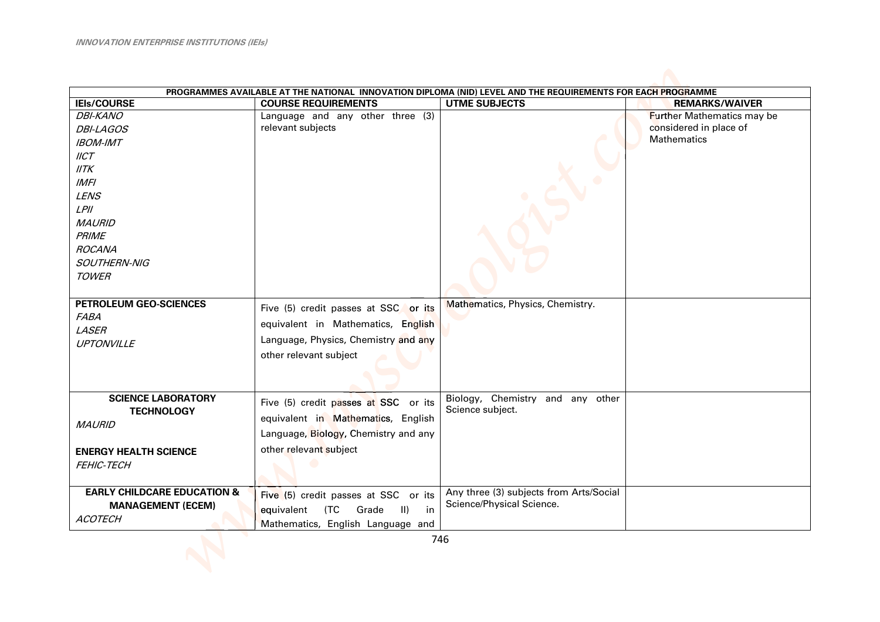|                                        | PROGRAMMES AVAILABLE AT THE NATIONAL INNOVATION DIPLOMA (NID) LEVEL AND THE REQUIREMENTS FOR EACH PROGRAMME |                                         |                                   |  |  |
|----------------------------------------|-------------------------------------------------------------------------------------------------------------|-----------------------------------------|-----------------------------------|--|--|
| <b>IEIs/COURSE</b>                     | <b>COURSE REQUIREMENTS</b>                                                                                  | <b>UTME SUBJECTS</b>                    | <b>REMARKS/WAIVER</b>             |  |  |
| <b>DBI-KANO</b>                        | Language and any other three (3)                                                                            |                                         | <b>Further Mathematics may be</b> |  |  |
| <b>DBI-LAGOS</b>                       | relevant subjects                                                                                           |                                         | considered in place of            |  |  |
| <b>IBOM-IMT</b>                        |                                                                                                             |                                         | <b>Mathematics</b>                |  |  |
| IICT                                   |                                                                                                             |                                         |                                   |  |  |
| IITK                                   |                                                                                                             |                                         |                                   |  |  |
| <b>IMFI</b>                            |                                                                                                             |                                         |                                   |  |  |
| <b>LENS</b>                            |                                                                                                             |                                         |                                   |  |  |
| $L$ <i>PII</i>                         |                                                                                                             |                                         |                                   |  |  |
| <b>MAURID</b>                          |                                                                                                             |                                         |                                   |  |  |
| <b>PRIME</b>                           |                                                                                                             |                                         |                                   |  |  |
| <b>ROCANA</b>                          |                                                                                                             |                                         |                                   |  |  |
| SOUTHERN-NIG                           |                                                                                                             |                                         |                                   |  |  |
| <b>TOWER</b>                           |                                                                                                             |                                         |                                   |  |  |
|                                        |                                                                                                             |                                         |                                   |  |  |
| PETROLEUM GEO-SCIENCES                 | Five (5) credit passes at SSC or its                                                                        | Mathematics, Physics, Chemistry.        |                                   |  |  |
| <b>FABA</b>                            |                                                                                                             |                                         |                                   |  |  |
| LASER                                  | equivalent in Mathematics, English                                                                          |                                         |                                   |  |  |
| UPTONVILLE                             | Language, Physics, Chemistry and any                                                                        |                                         |                                   |  |  |
|                                        | other relevant subject                                                                                      |                                         |                                   |  |  |
|                                        |                                                                                                             |                                         |                                   |  |  |
|                                        |                                                                                                             |                                         |                                   |  |  |
| <b>SCIENCE LABORATORY</b>              |                                                                                                             | Biology, Chemistry and any other        |                                   |  |  |
| <b>TECHNOLOGY</b>                      | Five (5) credit passes at SSC or its                                                                        | Science subject.                        |                                   |  |  |
| <b>MAURID</b>                          | equivalent in Mathematics, English                                                                          |                                         |                                   |  |  |
|                                        | Language, Biology, Chemistry and any                                                                        |                                         |                                   |  |  |
| <b>ENERGY HEALTH SCIENCE</b>           | other relevant subject                                                                                      |                                         |                                   |  |  |
| FEHIC-TECH                             |                                                                                                             |                                         |                                   |  |  |
|                                        |                                                                                                             |                                         |                                   |  |  |
| <b>EARLY CHILDCARE EDUCATION &amp;</b> | Five (5) credit passes at SSC or its                                                                        | Any three (3) subjects from Arts/Social |                                   |  |  |
| <b>MANAGEMENT (ECEM)</b>               | $\vert \vert$                                                                                               | Science/Physical Science.               |                                   |  |  |
| <b>ACOTECH</b>                         | equivalent<br>(TC<br>Grade<br>in                                                                            |                                         |                                   |  |  |
|                                        | Mathematics, English Language and                                                                           |                                         |                                   |  |  |
|                                        |                                                                                                             | 746                                     |                                   |  |  |
|                                        |                                                                                                             |                                         |                                   |  |  |
|                                        |                                                                                                             |                                         |                                   |  |  |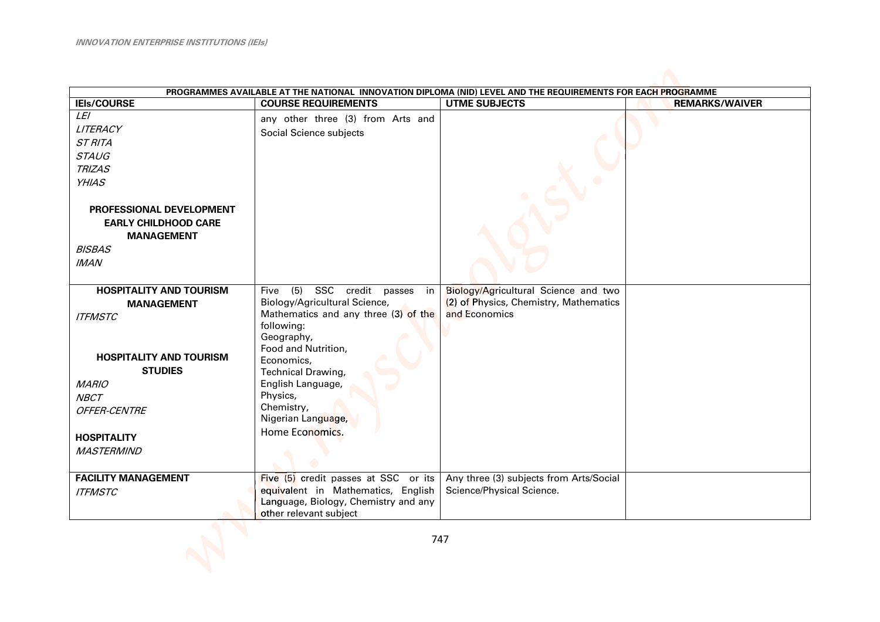| PROGRAMMES AVAILABLE AT THE NATIONAL INNOVATION DIPLOMA (NID) LEVEL AND THE REQUIREMENTS FOR EACH PROGRAMME |                                                                            |                                         |                       |  |
|-------------------------------------------------------------------------------------------------------------|----------------------------------------------------------------------------|-----------------------------------------|-----------------------|--|
| <b>IEIs/COURSE</b>                                                                                          | <b>COURSE REQUIREMENTS</b>                                                 | <b>UTME SUBJECTS</b>                    | <b>REMARKS/WAIVER</b> |  |
| LEI                                                                                                         | any other three (3) from Arts and                                          |                                         |                       |  |
| LITERACY                                                                                                    | Social Science subjects                                                    |                                         |                       |  |
| <b>ST RITA</b>                                                                                              |                                                                            |                                         |                       |  |
| <b>STAUG</b>                                                                                                |                                                                            |                                         |                       |  |
| <b>TRIZAS</b>                                                                                               |                                                                            |                                         |                       |  |
| <b>YHIAS</b>                                                                                                |                                                                            |                                         |                       |  |
|                                                                                                             |                                                                            |                                         |                       |  |
| <b>PROFESSIONAL DEVELOPMENT</b>                                                                             |                                                                            |                                         |                       |  |
| <b>EARLY CHILDHOOD CARE</b>                                                                                 |                                                                            |                                         |                       |  |
| <b>MANAGEMENT</b>                                                                                           |                                                                            |                                         |                       |  |
| <b>BISBAS</b>                                                                                               |                                                                            |                                         |                       |  |
| <b>IMAN</b>                                                                                                 |                                                                            |                                         |                       |  |
|                                                                                                             |                                                                            |                                         |                       |  |
| <b>HOSPITALITY AND TOURISM</b>                                                                              | SSC credit passes in<br>(5)<br>Five                                        | Biology/Agricultural Science and two    |                       |  |
| <b>MANAGEMENT</b>                                                                                           | Biology/Agricultural Science,                                              | (2) of Physics, Chemistry, Mathematics  |                       |  |
| <b>ITFMSTC</b>                                                                                              | Mathematics and any three (3) of the                                       | and Economics                           |                       |  |
|                                                                                                             | following:                                                                 |                                         |                       |  |
|                                                                                                             | Geography,                                                                 |                                         |                       |  |
| <b>HOSPITALITY AND TOURISM</b>                                                                              | Food and Nutrition,                                                        |                                         |                       |  |
| <b>STUDIES</b>                                                                                              | Economics,                                                                 |                                         |                       |  |
|                                                                                                             | Technical Drawing,<br>English Language,                                    |                                         |                       |  |
| <b>MARIO</b>                                                                                                | Physics,                                                                   |                                         |                       |  |
| <b>NBCT</b>                                                                                                 | Chemistry,                                                                 |                                         |                       |  |
| OFFER-CENTRE                                                                                                | Nigerian Language,                                                         |                                         |                       |  |
|                                                                                                             | Home Economics.                                                            |                                         |                       |  |
| <b>HOSPITALITY</b>                                                                                          |                                                                            |                                         |                       |  |
| <b>MASTERMIND</b>                                                                                           |                                                                            |                                         |                       |  |
|                                                                                                             |                                                                            |                                         |                       |  |
| <b>FACILITY MANAGEMENT</b>                                                                                  | Five (5) credit passes at SSC or its                                       | Any three (3) subjects from Arts/Social |                       |  |
| <b>ITFMSTC</b>                                                                                              | equivalent in Mathematics, English<br>Language, Biology, Chemistry and any | Science/Physical Science.               |                       |  |
|                                                                                                             | other relevant subject                                                     |                                         |                       |  |
|                                                                                                             |                                                                            |                                         |                       |  |
|                                                                                                             | 747                                                                        |                                         |                       |  |
|                                                                                                             |                                                                            |                                         |                       |  |
|                                                                                                             |                                                                            |                                         |                       |  |
|                                                                                                             |                                                                            |                                         |                       |  |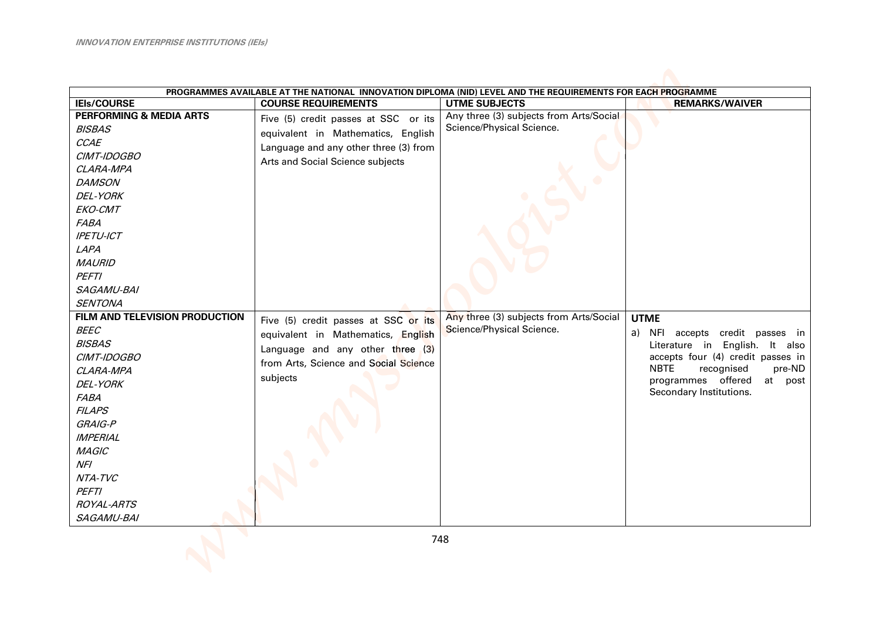| PROGRAMMES AVAILABLE AT THE NATIONAL INNOVATION DIPLOMA (NID) LEVEL AND THE REQUIREMENTS FOR EACH PROGRAMME |                                       |                                         |                                                                |  |
|-------------------------------------------------------------------------------------------------------------|---------------------------------------|-----------------------------------------|----------------------------------------------------------------|--|
| <b>IEIs/COURSE</b>                                                                                          | <b>COURSE REQUIREMENTS</b>            | <b>UTME SUBJECTS</b>                    | <b>REMARKS/WAIVER</b>                                          |  |
| <b>PERFORMING &amp; MEDIA ARTS</b>                                                                          | Five (5) credit passes at SSC or its  | Any three (3) subjects from Arts/Social |                                                                |  |
| <b>BISBAS</b>                                                                                               | equivalent in Mathematics, English    | Science/Physical Science.               |                                                                |  |
| CCAE                                                                                                        | Language and any other three (3) from |                                         |                                                                |  |
| CIMT-IDOGBO                                                                                                 | Arts and Social Science subjects      |                                         |                                                                |  |
| CLARA-MPA                                                                                                   |                                       |                                         |                                                                |  |
| <b>DAMSON</b>                                                                                               |                                       |                                         |                                                                |  |
| <b>DEL-YORK</b>                                                                                             |                                       |                                         |                                                                |  |
| EKO-CMT                                                                                                     |                                       |                                         |                                                                |  |
| <b>FABA</b>                                                                                                 |                                       |                                         |                                                                |  |
| <b>IPETU-ICT</b>                                                                                            |                                       |                                         |                                                                |  |
| LAPA                                                                                                        |                                       |                                         |                                                                |  |
| <b>MAURID</b>                                                                                               |                                       |                                         |                                                                |  |
| <b>PEFTI</b>                                                                                                |                                       |                                         |                                                                |  |
| SAGAMU-BAI                                                                                                  |                                       |                                         |                                                                |  |
| <b>SENTONA</b>                                                                                              |                                       |                                         |                                                                |  |
| FILM AND TELEVISION PRODUCTION                                                                              | Five (5) credit passes at SSC or its  | Any three (3) subjects from Arts/Social | <b>UTME</b>                                                    |  |
| <b>BEEC</b>                                                                                                 | equivalent in Mathematics, English    | Science/Physical Science.               | NFI accepts credit passes in<br>a)                             |  |
| <b>BISBAS</b>                                                                                               | Language and any other three (3)      |                                         | Literature in English. It<br>also                              |  |
| CIMT-IDOGBO                                                                                                 | from Arts, Science and Social Science |                                         | accepts four (4) credit passes in                              |  |
| CLARA-MPA                                                                                                   | subjects                              |                                         | <b>NBTE</b><br>recognised<br>pre-ND                            |  |
| <b>DEL-YORK</b>                                                                                             |                                       |                                         | offered<br>programmes<br>at<br>post<br>Secondary Institutions. |  |
| <b>FABA</b>                                                                                                 |                                       |                                         |                                                                |  |
| <b>FILAPS</b>                                                                                               |                                       |                                         |                                                                |  |
| GRAIG-P                                                                                                     |                                       |                                         |                                                                |  |
| <b>IMPERIAL</b>                                                                                             |                                       |                                         |                                                                |  |
| <b>MAGIC</b>                                                                                                |                                       |                                         |                                                                |  |
| NFI                                                                                                         |                                       |                                         |                                                                |  |
| NTA-TVC                                                                                                     |                                       |                                         |                                                                |  |
| <b>PEFTI</b>                                                                                                |                                       |                                         |                                                                |  |
| <b>ROYAL-ARTS</b>                                                                                           |                                       |                                         |                                                                |  |
| SAGAMU-BAI                                                                                                  |                                       |                                         |                                                                |  |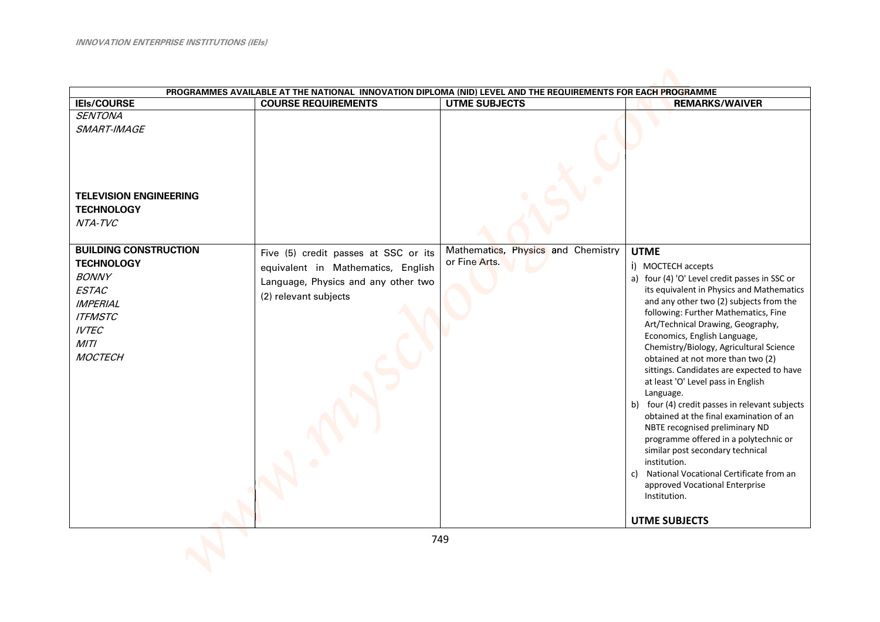|                                                                                                                                                                  | PROGRAMMES AVAILABLE AT THE NATIONAL INNOVATION DIPLOMA (NID) LEVEL AND THE REQUIREMENTS FOR EACH PROGRAMME                                |                                                     |                                                                                                                                                                                                                                                                                                                                                                                                                                                                                                                                                                                                                                                                                                                                                                                                                                |
|------------------------------------------------------------------------------------------------------------------------------------------------------------------|--------------------------------------------------------------------------------------------------------------------------------------------|-----------------------------------------------------|--------------------------------------------------------------------------------------------------------------------------------------------------------------------------------------------------------------------------------------------------------------------------------------------------------------------------------------------------------------------------------------------------------------------------------------------------------------------------------------------------------------------------------------------------------------------------------------------------------------------------------------------------------------------------------------------------------------------------------------------------------------------------------------------------------------------------------|
| <b>IEIs/COURSE</b>                                                                                                                                               | <b>COURSE REQUIREMENTS</b>                                                                                                                 | <b>UTME SUBJECTS</b>                                | <b>REMARKS/WAIVER</b>                                                                                                                                                                                                                                                                                                                                                                                                                                                                                                                                                                                                                                                                                                                                                                                                          |
| <b>SENTONA</b><br>SMART-IMAGE<br><b>TELEVISION ENGINEERING</b><br><b>TECHNOLOGY</b><br>NTA-TVC                                                                   |                                                                                                                                            |                                                     |                                                                                                                                                                                                                                                                                                                                                                                                                                                                                                                                                                                                                                                                                                                                                                                                                                |
| <b>BUILDING CONSTRUCTION</b><br><b>TECHNOLOGY</b><br><b>BONNY</b><br><b>ESTAC</b><br><b>IMPERIAL</b><br><b>ITFMSTC</b><br><b>IVTEC</b><br>MITI<br><b>MOCTECH</b> | Five (5) credit passes at SSC or its<br>equivalent in Mathematics, English<br>Language, Physics and any other two<br>(2) relevant subjects | Mathematics, Physics and Chemistry<br>or Fine Arts. | <b>UTME</b><br>i) MOCTECH accepts<br>a) four (4) 'O' Level credit passes in SSC or<br>its equivalent in Physics and Mathematics<br>and any other two (2) subjects from the<br>following: Further Mathematics, Fine<br>Art/Technical Drawing, Geography,<br>Economics, English Language,<br>Chemistry/Biology, Agricultural Science<br>obtained at not more than two (2)<br>sittings. Candidates are expected to have<br>at least 'O' Level pass in English<br>Language.<br>b) four (4) credit passes in relevant subjects<br>obtained at the final examination of an<br>NBTE recognised preliminary ND<br>programme offered in a polytechnic or<br>similar post secondary technical<br>institution.<br>National Vocational Certificate from an<br>c)<br>approved Vocational Enterprise<br>Institution.<br><b>UTME SUBJECTS</b> |
|                                                                                                                                                                  |                                                                                                                                            | 749                                                 |                                                                                                                                                                                                                                                                                                                                                                                                                                                                                                                                                                                                                                                                                                                                                                                                                                |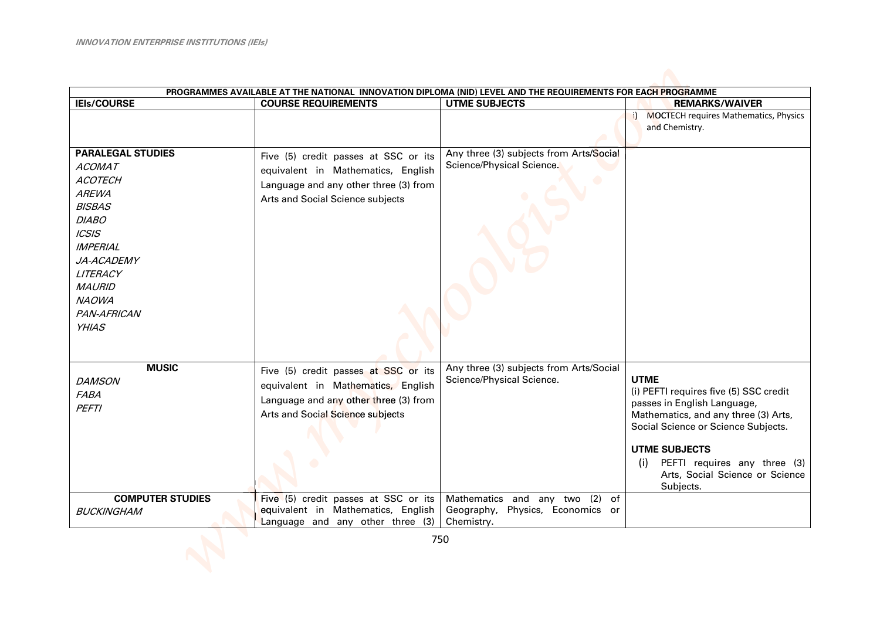|                                                                                                                                                                                                                                    | PROGRAMMES AVAILABLE AT THE NATIONAL INNOVATION DIPLOMA (NID) LEVEL AND THE REQUIREMENTS FOR EACH PROGRAMME                                             |                                                                                           |                                                                                                                                                                                                                                                                                    |
|------------------------------------------------------------------------------------------------------------------------------------------------------------------------------------------------------------------------------------|---------------------------------------------------------------------------------------------------------------------------------------------------------|-------------------------------------------------------------------------------------------|------------------------------------------------------------------------------------------------------------------------------------------------------------------------------------------------------------------------------------------------------------------------------------|
| <b>IEIs/COURSE</b>                                                                                                                                                                                                                 | <b>COURSE REQUIREMENTS</b>                                                                                                                              | <b>UTME SUBJECTS</b>                                                                      | <b>REMARKS/WAIVER</b>                                                                                                                                                                                                                                                              |
|                                                                                                                                                                                                                                    |                                                                                                                                                         |                                                                                           | i) MOCTECH requires Mathematics, Physics<br>and Chemistry.                                                                                                                                                                                                                         |
| <b>PARALEGAL STUDIES</b><br><b>ACOMAT</b><br><b>ACOTECH</b><br><b>AREWA</b><br><b>BISBAS</b><br><b>DIABO</b><br> CS S<br><b>IMPERIAL</b><br>JA-ACADEMY<br>LITERACY<br><b>MAURID</b><br><b>NAOWA</b><br>PAN-AFRICAN<br><b>YHIAS</b> | Five (5) credit passes at SSC or its<br>equivalent in Mathematics, English<br>Language and any other three (3) from<br>Arts and Social Science subjects | Any three (3) subjects from Arts/Social<br>Science/Physical Science.                      |                                                                                                                                                                                                                                                                                    |
| <b>MUSIC</b><br><b>DAMSON</b><br><b>FABA</b><br><b>PEFTI</b>                                                                                                                                                                       | Five (5) credit passes at SSC or its<br>equivalent in Mathematics, English<br>Language and any other three (3) from<br>Arts and Social Science subjects | Any three (3) subjects from Arts/Social<br>Science/Physical Science.                      | <b>UTME</b><br>(i) PEFTI requires five (5) SSC credit<br>passes in English Language,<br>Mathematics, and any three (3) Arts,<br>Social Science or Science Subjects.<br><b>UTME SUBJECTS</b><br>PEFTI requires any three (3)<br>(i)<br>Arts, Social Science or Science<br>Subjects. |
| <b>COMPUTER STUDIES</b><br><b>BUCKINGHAM</b>                                                                                                                                                                                       | Five (5) credit passes at SSC or its<br>equivalent in Mathematics, English<br>Language and any other three (3)                                          | Mathematics<br>and any two (2)<br>of<br>Geography,<br>Physics, Economics or<br>Chemistry. |                                                                                                                                                                                                                                                                                    |
|                                                                                                                                                                                                                                    |                                                                                                                                                         | 750                                                                                       |                                                                                                                                                                                                                                                                                    |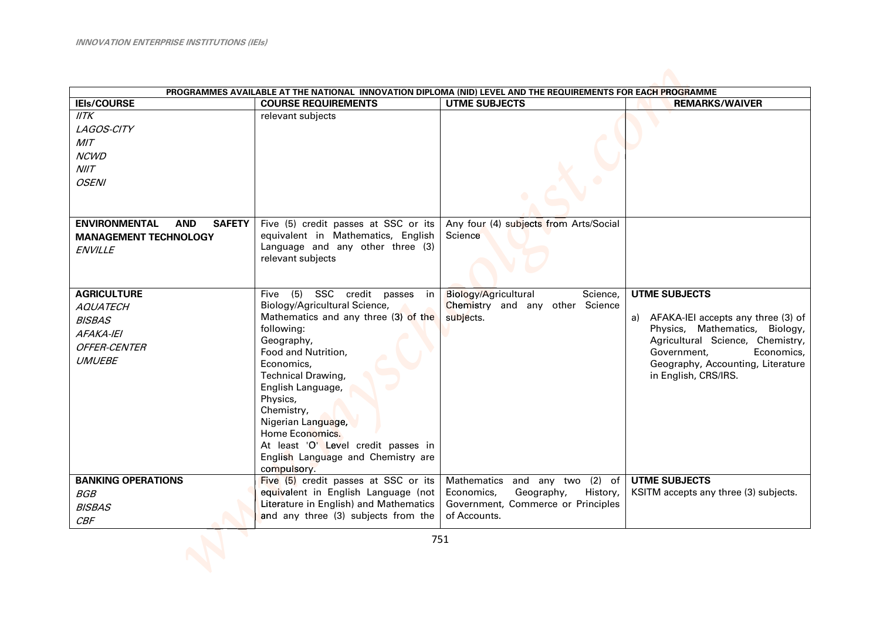| PROGRAMMES AVAILABLE AT THE NATIONAL INNOVATION DIPLOMA (NID) LEVEL AND THE REQUIREMENTS FOR EACH PROGRAMME                                                                |                                                                                                                                                                                                                                                                                                                                                                                                |                                                                                                                              |                                                                                                                                                                                                                               |  |
|----------------------------------------------------------------------------------------------------------------------------------------------------------------------------|------------------------------------------------------------------------------------------------------------------------------------------------------------------------------------------------------------------------------------------------------------------------------------------------------------------------------------------------------------------------------------------------|------------------------------------------------------------------------------------------------------------------------------|-------------------------------------------------------------------------------------------------------------------------------------------------------------------------------------------------------------------------------|--|
| <b>IEIs/COURSE</b>                                                                                                                                                         | <b>COURSE REQUIREMENTS</b>                                                                                                                                                                                                                                                                                                                                                                     | <b>UTME SUBJECTS</b>                                                                                                         | <b>REMARKS/WAIVER</b>                                                                                                                                                                                                         |  |
| IITK<br>LAGOS-CITY<br>MIT<br><b>NCWD</b><br>N I/T<br><b>OSENI</b><br><b>ENVIRONMENTAL</b><br><b>AND</b><br><b>SAFETY</b><br><b>MANAGEMENT TECHNOLOGY</b><br><b>ENVILLE</b> | relevant subjects<br>Five (5) credit passes at SSC or its<br>equivalent in Mathematics, English<br>Language and any other three (3)                                                                                                                                                                                                                                                            | Any four (4) subjects from Arts/Social<br>Science                                                                            |                                                                                                                                                                                                                               |  |
|                                                                                                                                                                            | relevant subjects                                                                                                                                                                                                                                                                                                                                                                              |                                                                                                                              |                                                                                                                                                                                                                               |  |
| <b>AGRICULTURE</b><br><b>AQUATECH</b><br><b>BISBAS</b><br>AFAKA-IEI<br><b>OFFER-CENTER</b><br><b>UMUEBE</b>                                                                | (5)<br>SSC credit passes in<br>Five<br>Biology/Agricultural Science,<br>Mathematics and any three (3) of the<br>following:<br>Geography,<br>Food and Nutrition,<br>Economics,<br><b>Technical Drawing,</b><br>English Language,<br>Physics,<br>Chemistry,<br>Nigerian Language,<br>Home Economics.<br>At least 'O' Level credit passes in<br>English Language and Chemistry are<br>compulsory. | Biology/Agricultural<br>Science,<br>Chemistry and any other Science<br>subjects.                                             | <b>UTME SUBJECTS</b><br>a) AFAKA-IEI accepts any three (3) of<br>Physics, Mathematics, Biology,<br>Agricultural Science, Chemistry,<br>Government,<br>Economics,<br>Geography, Accounting, Literature<br>in English, CRS/IRS. |  |
| <b>BANKING OPERATIONS</b><br><b>BGB</b><br><b>BISBAS</b><br>CBF                                                                                                            | Five (5) credit passes at SSC or its<br>equivalent in English Language (not<br>Literature in English) and Mathematics<br>and any three (3) subjects from the                                                                                                                                                                                                                                   | Mathematics and any two (2) of<br>Economics,<br>Geography,<br>History,<br>Government, Commerce or Principles<br>of Accounts. | <b>UTME SUBJECTS</b><br>KSITM accepts any three (3) subjects.                                                                                                                                                                 |  |
|                                                                                                                                                                            |                                                                                                                                                                                                                                                                                                                                                                                                | 751                                                                                                                          |                                                                                                                                                                                                                               |  |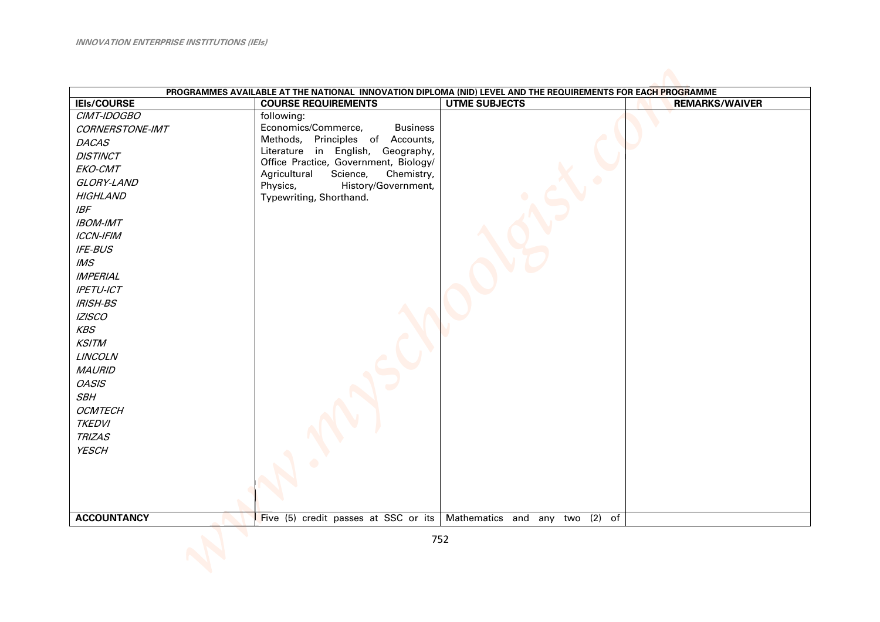|                    | PROGRAMMES AVAILABLE AT THE NATIONAL INNOVATION DIPLOMA (NID) LEVEL AND THE REQUIREMENTS FOR EACH PROGRAMME |                                                                       |                       |
|--------------------|-------------------------------------------------------------------------------------------------------------|-----------------------------------------------------------------------|-----------------------|
| <b>IEIs/COURSE</b> | <b>COURSE REQUIREMENTS</b>                                                                                  | <b>UTME SUBJECTS</b>                                                  | <b>REMARKS/WAIVER</b> |
| CIMT-IDOGBO        | following:                                                                                                  |                                                                       |                       |
| CORNERSTONE-IMT    | Economics/Commerce,<br><b>Business</b>                                                                      |                                                                       |                       |
| <b>DACAS</b>       | Methods, Principles of Accounts,                                                                            |                                                                       |                       |
| <b>DISTINCT</b>    | Literature in English, Geography,<br>Office Practice, Government, Biology/                                  |                                                                       |                       |
| EKO-CMT            | Agricultural<br>Science,<br>Chemistry,                                                                      |                                                                       |                       |
| GLORY-LAND         | History/Government,<br>Physics,                                                                             |                                                                       |                       |
| <b>HIGHLAND</b>    | Typewriting, Shorthand.                                                                                     |                                                                       |                       |
| <b>IBF</b>         |                                                                                                             |                                                                       |                       |
| <b>IBOM-IMT</b>    |                                                                                                             |                                                                       |                       |
| <b>ICCN-IFIM</b>   |                                                                                                             |                                                                       |                       |
| <b>IFE-BUS</b>     |                                                                                                             |                                                                       |                       |
| M.S                |                                                                                                             |                                                                       |                       |
| <b>IMPERIAL</b>    |                                                                                                             |                                                                       |                       |
| <b>IPETU-ICT</b>   |                                                                                                             |                                                                       |                       |
| <b>IRISH-BS</b>    |                                                                                                             |                                                                       |                       |
| <b>IZISCO</b>      |                                                                                                             |                                                                       |                       |
| KBS                |                                                                                                             |                                                                       |                       |
| <b>KSITM</b>       |                                                                                                             |                                                                       |                       |
| <b>LINCOLN</b>     |                                                                                                             |                                                                       |                       |
| <b>MAURID</b>      |                                                                                                             |                                                                       |                       |
| <b>OASIS</b>       |                                                                                                             |                                                                       |                       |
| <b>SBH</b>         |                                                                                                             |                                                                       |                       |
| <b>OCMTECH</b>     |                                                                                                             |                                                                       |                       |
| <b>TKEDVI</b>      |                                                                                                             |                                                                       |                       |
| <b>TRIZAS</b>      |                                                                                                             |                                                                       |                       |
| <b>YESCH</b>       |                                                                                                             |                                                                       |                       |
|                    |                                                                                                             |                                                                       |                       |
|                    |                                                                                                             |                                                                       |                       |
|                    |                                                                                                             |                                                                       |                       |
|                    |                                                                                                             |                                                                       |                       |
| <b>ACCOUNTANCY</b> |                                                                                                             | Five (5) credit passes at SSC or its   Mathematics and any two (2) of |                       |
|                    |                                                                                                             | 752                                                                   |                       |
|                    |                                                                                                             |                                                                       |                       |
|                    |                                                                                                             |                                                                       |                       |
|                    |                                                                                                             |                                                                       |                       |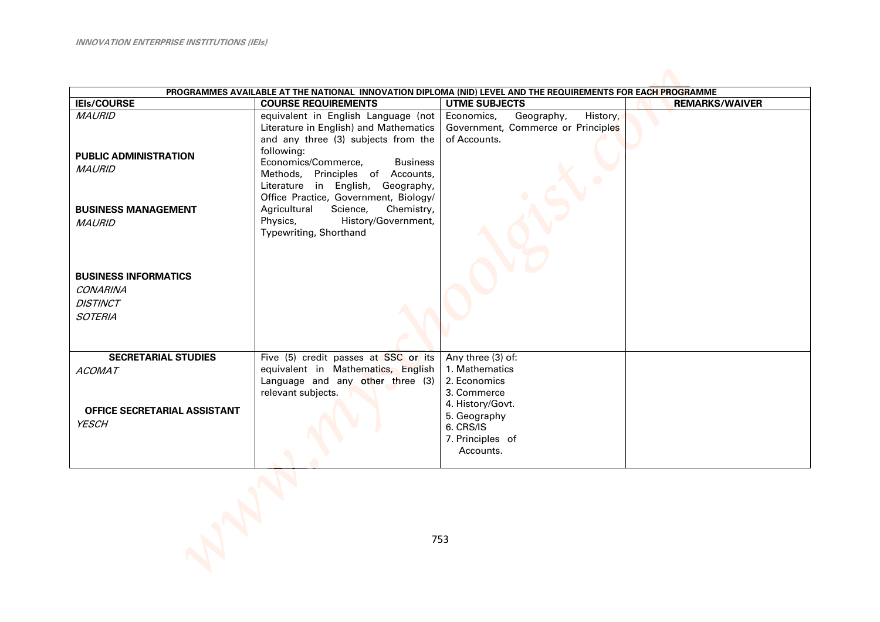| PROGRAMMES AVAILABLE AT THE NATIONAL INNOVATION DIPLOMA (NID) LEVEL AND THE REQUIREMENTS FOR EACH PROGRAMME |                                                                                                                                                                              |                                                                                            |                       |  |
|-------------------------------------------------------------------------------------------------------------|------------------------------------------------------------------------------------------------------------------------------------------------------------------------------|--------------------------------------------------------------------------------------------|-----------------------|--|
| <b>IEIs/COURSE</b>                                                                                          | <b>COURSE REQUIREMENTS</b>                                                                                                                                                   | <b>UTME SUBJECTS</b>                                                                       | <b>REMARKS/WAIVER</b> |  |
| <b>MAURID</b><br><b>PUBLIC ADMINISTRATION</b>                                                               | equivalent in English Language (not<br>Literature in English) and Mathematics<br>and any three (3) subjects from the<br>following:<br>Economics/Commerce,<br><b>Business</b> | Geography,<br>Economics,<br>History,<br>Government, Commerce or Principles<br>of Accounts. |                       |  |
| <b>MAURID</b><br><b>BUSINESS MANAGEMENT</b>                                                                 | Methods, Principles of Accounts,<br>Literature in English, Geography,<br>Office Practice, Government, Biology/<br>Science,<br>Chemistry,<br>Agricultural                     |                                                                                            |                       |  |
| <b>MAURID</b>                                                                                               | Physics,<br>History/Government,<br>Typewriting, Shorthand                                                                                                                    |                                                                                            |                       |  |
| <b>BUSINESS INFORMATICS</b>                                                                                 |                                                                                                                                                                              |                                                                                            |                       |  |
| <b>CONARINA</b>                                                                                             |                                                                                                                                                                              |                                                                                            |                       |  |
| <b>DISTINCT</b>                                                                                             |                                                                                                                                                                              |                                                                                            |                       |  |
| <b>SOTERIA</b>                                                                                              |                                                                                                                                                                              |                                                                                            |                       |  |
| <b>SECRETARIAL STUDIES</b>                                                                                  | Five (5) credit passes at SSC or its                                                                                                                                         | Any three (3) of:                                                                          |                       |  |
| <b>ACOMAT</b>                                                                                               | equivalent in Mathematics, English                                                                                                                                           | 1. Mathematics                                                                             |                       |  |
|                                                                                                             | Language and any other three (3)                                                                                                                                             | 2. Economics                                                                               |                       |  |
|                                                                                                             | relevant subjects.                                                                                                                                                           | 3. Commerce                                                                                |                       |  |
| OFFICE SECRETARIAL ASSISTANT                                                                                |                                                                                                                                                                              | 4. History/Govt.<br>5. Geography                                                           |                       |  |
| <b>YESCH</b>                                                                                                |                                                                                                                                                                              | 6. CRS/IS                                                                                  |                       |  |
|                                                                                                             |                                                                                                                                                                              | 7. Principles of                                                                           |                       |  |
|                                                                                                             |                                                                                                                                                                              | Accounts.                                                                                  |                       |  |
|                                                                                                             |                                                                                                                                                                              |                                                                                            |                       |  |
|                                                                                                             |                                                                                                                                                                              | 753                                                                                        |                       |  |
|                                                                                                             |                                                                                                                                                                              |                                                                                            |                       |  |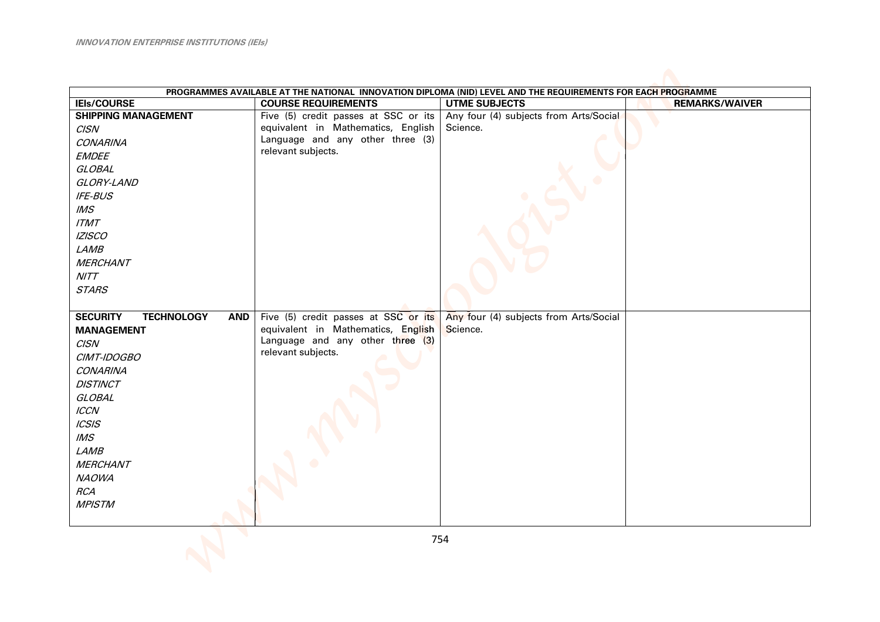|                                                    |                                      | PROGRAMMES AVAILABLE AT THE NATIONAL INNOVATION DIPLOMA (NID) LEVEL AND THE REQUIREMENTS FOR EACH PROGRAMME |                       |
|----------------------------------------------------|--------------------------------------|-------------------------------------------------------------------------------------------------------------|-----------------------|
| <b>IEIs/COURSE</b>                                 | <b>COURSE REQUIREMENTS</b>           | <b>UTME SUBJECTS</b>                                                                                        | <b>REMARKS/WAIVER</b> |
| <b>SHIPPING MANAGEMENT</b>                         | Five (5) credit passes at SSC or its | Any four (4) subjects from Arts/Social                                                                      |                       |
| <b>CISN</b>                                        | equivalent in Mathematics, English   | Science.                                                                                                    |                       |
| <b>CONARINA</b>                                    | Language and any other three (3)     |                                                                                                             |                       |
| <b>EMDEE</b>                                       | relevant subjects.                   |                                                                                                             |                       |
| <b>GLOBAL</b>                                      |                                      |                                                                                                             |                       |
| GLORY-LAND                                         |                                      |                                                                                                             |                       |
| IFE-BUS                                            |                                      |                                                                                                             |                       |
| M.S                                                |                                      |                                                                                                             |                       |
| ITMT                                               |                                      |                                                                                                             |                       |
| <b>IZISCO</b>                                      |                                      |                                                                                                             |                       |
| LAMB                                               |                                      |                                                                                                             |                       |
| <b>MERCHANT</b>                                    |                                      |                                                                                                             |                       |
| NITT                                               |                                      |                                                                                                             |                       |
| <b>STARS</b>                                       |                                      |                                                                                                             |                       |
|                                                    |                                      |                                                                                                             |                       |
| <b>TECHNOLOGY</b><br><b>SECURITY</b><br><b>AND</b> | Five (5) credit passes at SSC or its | Any four (4) subjects from Arts/Social                                                                      |                       |
| <b>MANAGEMENT</b>                                  | equivalent in Mathematics, English   | Science.                                                                                                    |                       |
| <b>CISN</b>                                        | Language and any other three (3)     |                                                                                                             |                       |
| CIMT-IDOGBO                                        | relevant subjects.                   |                                                                                                             |                       |
| <b>CONARINA</b>                                    |                                      |                                                                                                             |                       |
| <b>DISTINCT</b>                                    |                                      |                                                                                                             |                       |
| <b>GLOBAL</b>                                      |                                      |                                                                                                             |                       |
| <b>ICCN</b>                                        |                                      |                                                                                                             |                       |
| CS S                                               |                                      |                                                                                                             |                       |
| M.S                                                |                                      |                                                                                                             |                       |
| <b>LAMB</b>                                        |                                      |                                                                                                             |                       |
| <b>MERCHANT</b>                                    |                                      |                                                                                                             |                       |
| <b>NAOWA</b>                                       |                                      |                                                                                                             |                       |
| <b>RCA</b>                                         |                                      |                                                                                                             |                       |
| <b>MPISTM</b>                                      |                                      |                                                                                                             |                       |
|                                                    |                                      |                                                                                                             |                       |
|                                                    |                                      | 754                                                                                                         |                       |
|                                                    |                                      |                                                                                                             |                       |
|                                                    |                                      |                                                                                                             |                       |
|                                                    |                                      |                                                                                                             |                       |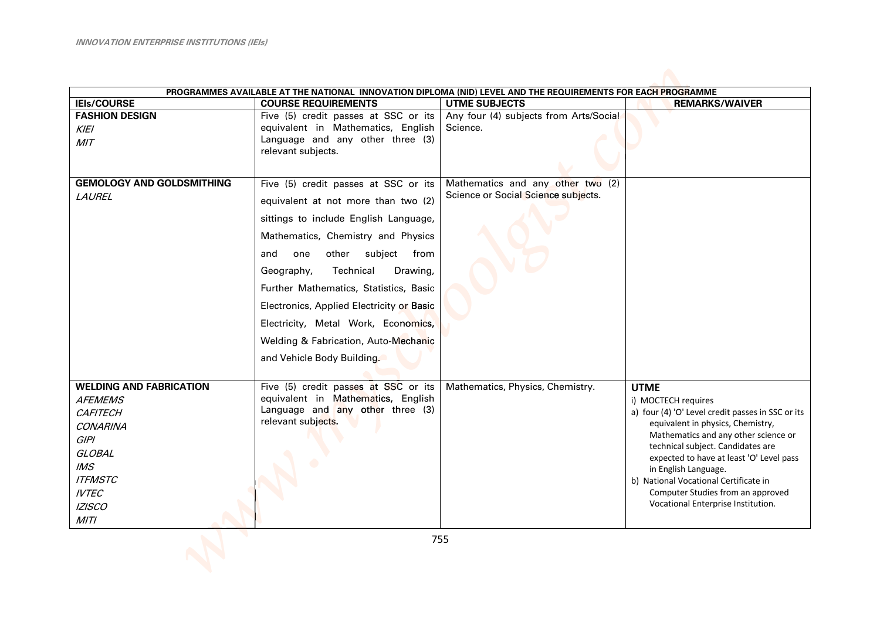| PROGRAMMES AVAILABLE AT THE NATIONAL INNOVATION DIPLOMA (NID) LEVEL AND THE REQUIREMENTS FOR EACH PROGRAMME |                                                                            |                                                                          |                                                                          |  |
|-------------------------------------------------------------------------------------------------------------|----------------------------------------------------------------------------|--------------------------------------------------------------------------|--------------------------------------------------------------------------|--|
| <b>IEIs/COURSE</b>                                                                                          | <b>COURSE REQUIREMENTS</b>                                                 | <b>UTME SUBJECTS</b>                                                     | <b>REMARKS/WAIVER</b>                                                    |  |
| <b>FASHION DESIGN</b>                                                                                       | Five (5) credit passes at SSC or its                                       | Any four (4) subjects from Arts/Social                                   |                                                                          |  |
| <b>KIEI</b>                                                                                                 | equivalent in Mathematics, English<br>Language and any other three (3)     | Science.                                                                 |                                                                          |  |
| MIT                                                                                                         | relevant subjects.                                                         |                                                                          |                                                                          |  |
|                                                                                                             |                                                                            |                                                                          |                                                                          |  |
|                                                                                                             |                                                                            |                                                                          |                                                                          |  |
| <b>GEMOLOGY AND GOLDSMITHING</b>                                                                            | Five (5) credit passes at SSC or its                                       | Mathematics and any other two (2)<br>Science or Social Science subjects. |                                                                          |  |
| LAUREL                                                                                                      | equivalent at not more than two (2)                                        |                                                                          |                                                                          |  |
|                                                                                                             | sittings to include English Language,                                      |                                                                          |                                                                          |  |
|                                                                                                             | Mathematics, Chemistry and Physics                                         |                                                                          |                                                                          |  |
|                                                                                                             | other<br>subject<br>from<br>and<br>one                                     |                                                                          |                                                                          |  |
|                                                                                                             | Technical<br>Geography,<br>Drawing,                                        |                                                                          |                                                                          |  |
|                                                                                                             | Further Mathematics, Statistics, Basic                                     |                                                                          |                                                                          |  |
|                                                                                                             | Electronics, Applied Electricity or Basic                                  |                                                                          |                                                                          |  |
|                                                                                                             | Electricity, Metal Work, Economics,                                        |                                                                          |                                                                          |  |
|                                                                                                             | Welding & Fabrication, Auto-Mechanic                                       |                                                                          |                                                                          |  |
|                                                                                                             | and Vehicle Body Building.                                                 |                                                                          |                                                                          |  |
|                                                                                                             |                                                                            |                                                                          |                                                                          |  |
| <b>WELDING AND FABRICATION</b>                                                                              | Five (5) credit passes at SSC or its<br>equivalent in Mathematics, English | Mathematics, Physics, Chemistry.                                         | <b>UTME</b>                                                              |  |
| <b>AFEMEMS</b>                                                                                              | Language and any other three (3)                                           |                                                                          | i) MOCTECH requires<br>a) four (4) 'O' Level credit passes in SSC or its |  |
| <b>CAFITECH</b>                                                                                             | relevant subjects.                                                         |                                                                          | equivalent in physics, Chemistry,                                        |  |
| <b>CONARINA</b><br><b>GIPI</b>                                                                              |                                                                            |                                                                          | Mathematics and any other science or                                     |  |
| <b>GLOBAL</b>                                                                                               |                                                                            |                                                                          | technical subject. Candidates are                                        |  |
| IMS                                                                                                         |                                                                            |                                                                          | expected to have at least 'O' Level pass                                 |  |
| <b>ITFMSTC</b>                                                                                              |                                                                            |                                                                          | in English Language.<br>b) National Vocational Certificate in            |  |
| <b>IVTEC</b>                                                                                                |                                                                            |                                                                          | Computer Studies from an approved                                        |  |
| <b>IZISCO</b>                                                                                               |                                                                            |                                                                          | Vocational Enterprise Institution.                                       |  |
| MITI                                                                                                        |                                                                            |                                                                          |                                                                          |  |
|                                                                                                             |                                                                            | 755                                                                      |                                                                          |  |
|                                                                                                             |                                                                            |                                                                          |                                                                          |  |
|                                                                                                             |                                                                            |                                                                          |                                                                          |  |